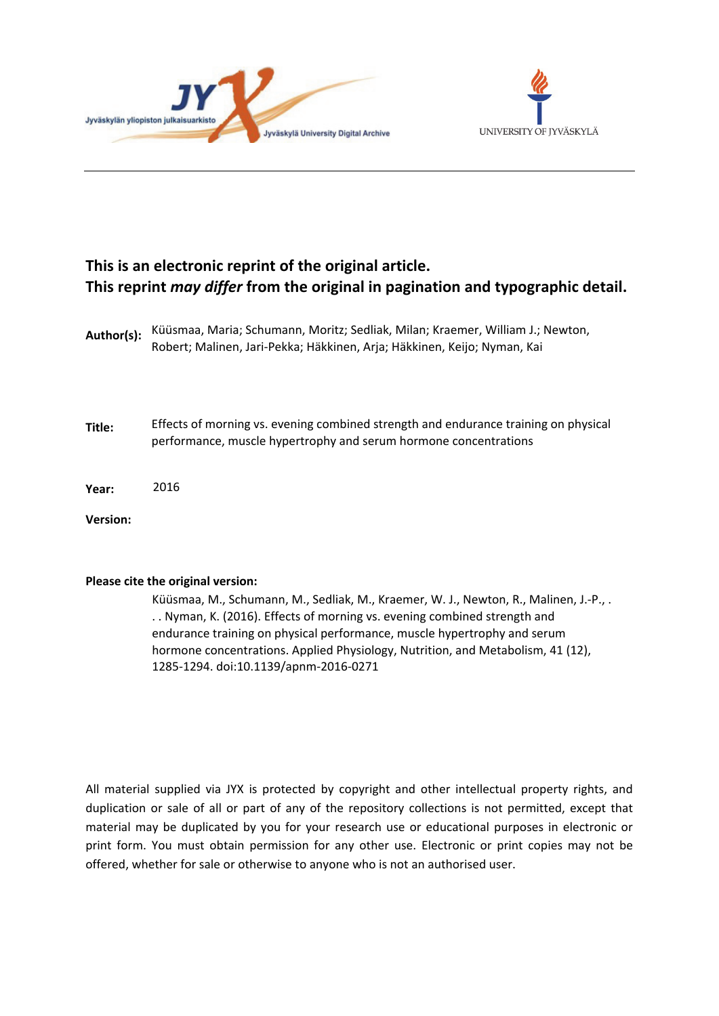



# **This is an electronic reprint of the original article. This reprint** *may differ* **from the original in pagination and typographic detail.**

| Author(s):      | Küüsmaa, Maria; Schumann, Moritz; Sedliak, Milan; Kraemer, William J.; Newton,<br>Robert; Malinen, Jari-Pekka; Häkkinen, Arja; Häkkinen, Keijo; Nyman, Kai |
|-----------------|------------------------------------------------------------------------------------------------------------------------------------------------------------|
| Title:          | Effects of morning vs. evening combined strength and endurance training on physical<br>performance, muscle hypertrophy and serum hormone concentrations    |
| Year:           | 2016                                                                                                                                                       |
| <b>Version:</b> |                                                                                                                                                            |

# **Please cite the original version:**

Küüsmaa, M., Schumann, M., Sedliak, M., Kraemer, W. J., Newton, R., Malinen, J.-P., . . . Nyman, K. (2016). Effects of morning vs. evening combined strength and endurance training on physical performance, muscle hypertrophy and serum hormone concentrations. Applied Physiology, Nutrition, and Metabolism, 41 (12), 1285-1294. doi:10.1139/apnm-2016-0271

All material supplied via JYX is protected by copyright and other intellectual property rights, and duplication or sale of all or part of any of the repository collections is not permitted, except that material may be duplicated by you for your research use or educational purposes in electronic or print form. You must obtain permission for any other use. Electronic or print copies may not be offered, whether for sale or otherwise to anyone who is not an authorised user.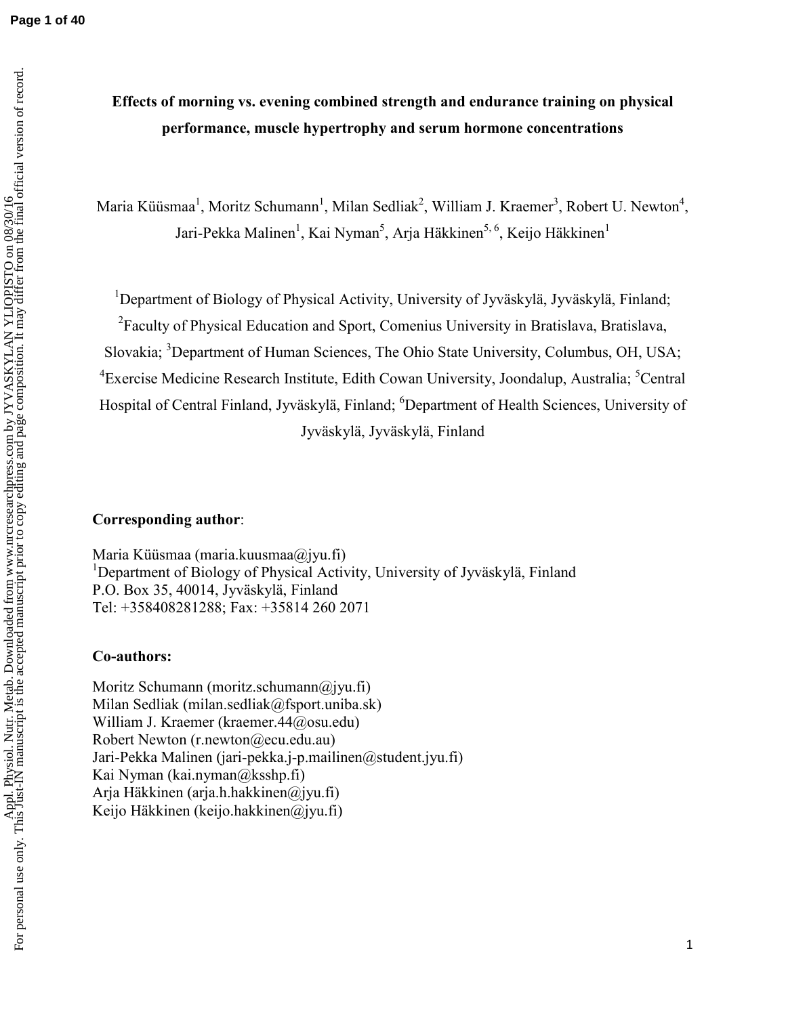# **Effects of morning vs. evening combined strength and endurance training on physical performance, muscle hypertrophy and serum hormone concentrations**

Maria Küüsmaa<sup>1</sup>, Moritz Schumann<sup>1</sup>, Milan Sedliak<sup>2</sup>, William J. Kraemer<sup>3</sup>, Robert U. Newton<sup>4</sup>, Jari-Pekka Malinen<sup>1</sup>, Kai Nyman<sup>5</sup>, Arja Häkkinen<sup>5, 6</sup>, Keijo Häkkinen<sup>1</sup>

<sup>1</sup>Department of Biology of Physical Activity, University of Jyväskylä, Jyväskylä, Finland; <sup>2</sup> Faculty of Physical Education and Sport, Comenius University in Bratislava, Bratislava, Slovakia; <sup>3</sup>Department of Human Sciences, The Ohio State University, Columbus, OH, USA; <sup>4</sup> Exercise Medicine Research Institute, Edith Cowan University, Joondalup, Australia; <sup>5</sup> Central Hospital of Central Finland, Jyväskylä, Finland; <sup>6</sup>Department of Health Sciences, University of Jyväskylä, Jyväskylä, Finland

# **Corresponding author**:

Maria Küüsmaa (maria.kuusmaa@jyu.fi) <sup>1</sup>Department of Biology of Physical Activity, University of Jyväskylä, Finland P.O. Box 35, 40014, Jyväskylä, Finland Tel: +358408281288; Fax: +35814 260 2071

# **Co-authors:**

Moritz Schumann (moritz.schumann@jyu.fi) Milan Sedliak (milan.sedliak@fsport.uniba.sk) William J. Kraemer (kraemer.44@osu.edu) Robert Newton (r.newton@ecu.edu.au) Jari-Pekka Malinen (jari-pekka.j-p.mailinen@student.jyu.fi) Kai Nyman (kai.nyman@ksshp.fi) Arja Häkkinen (arja.h.hakkinen@jyu.fi) Keijo Häkkinen (keijo.hakkinen@jyu.fi)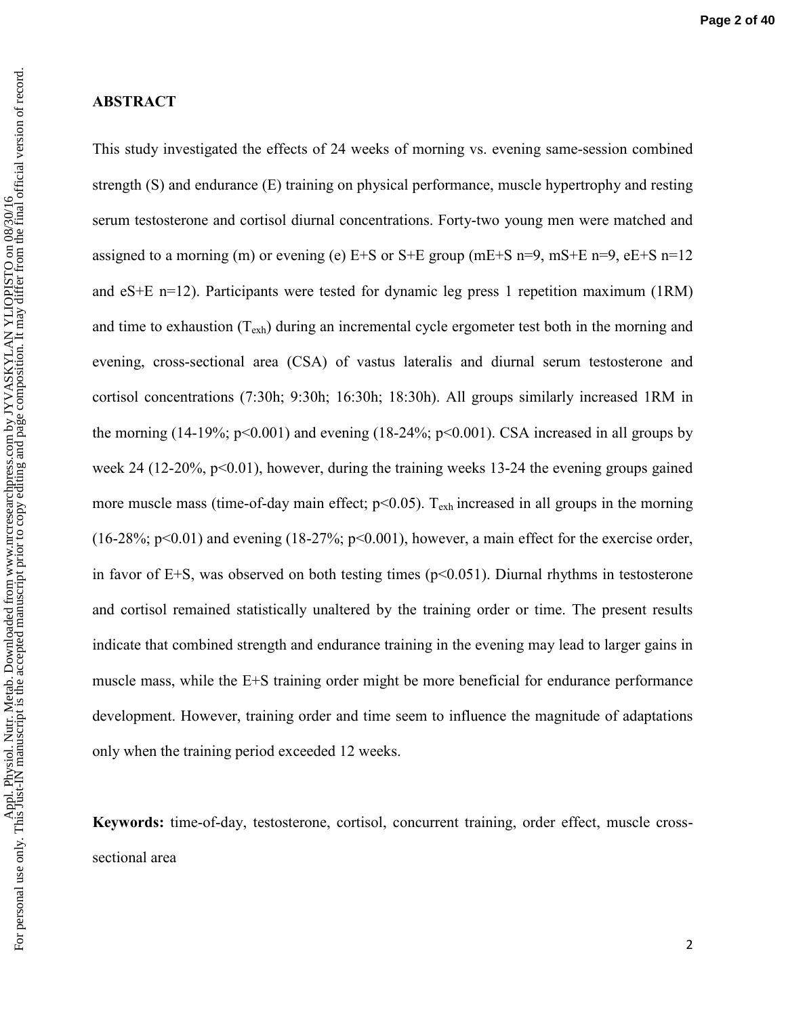# **ABSTRACT**

This study investigated the effects of 24 weeks of morning vs. evening same-session combined strength (S) and endurance (E) training on physical performance, muscle hypertrophy and resting serum testosterone and cortisol diurnal concentrations. Forty-two young men were matched and assigned to a morning (m) or evening (e)  $E+S$  or  $S+E$  group (mE+S n=9, mS+E n=9, eE+S n=12 and eS+E n=12). Participants were tested for dynamic leg press 1 repetition maximum (1RM) and time to exhaustion  $(T_{exh})$  during an incremental cycle ergometer test both in the morning and evening, cross-sectional area (CSA) of vastus lateralis and diurnal serum testosterone and cortisol concentrations (7:30h; 9:30h; 16:30h; 18:30h). All groups similarly increased 1RM in the morning (14-19%;  $p<0.001$ ) and evening (18-24%;  $p<0.001$ ). CSA increased in all groups by week 24 (12-20%, p<0.01), however, during the training weeks 13-24 the evening groups gained more muscle mass (time-of-day main effect;  $p<0.05$ ). T<sub>exh</sub> increased in all groups in the morning (16-28%;  $p<0.01$ ) and evening (18-27%;  $p<0.001$ ), however, a main effect for the exercise order, in favor of E+S, was observed on both testing times  $(p<0.051)$ . Diurnal rhythms in testosterone and cortisol remained statistically unaltered by the training order or time. The present results indicate that combined strength and endurance training in the evening may lead to larger gains in muscle mass, while the E+S training order might be more beneficial for endurance performance development. However, training order and time seem to influence the magnitude of adaptations only when the training period exceeded 12 weeks.

**Keywords:** time-of-day, testosterone, cortisol, concurrent training, order effect, muscle crosssectional area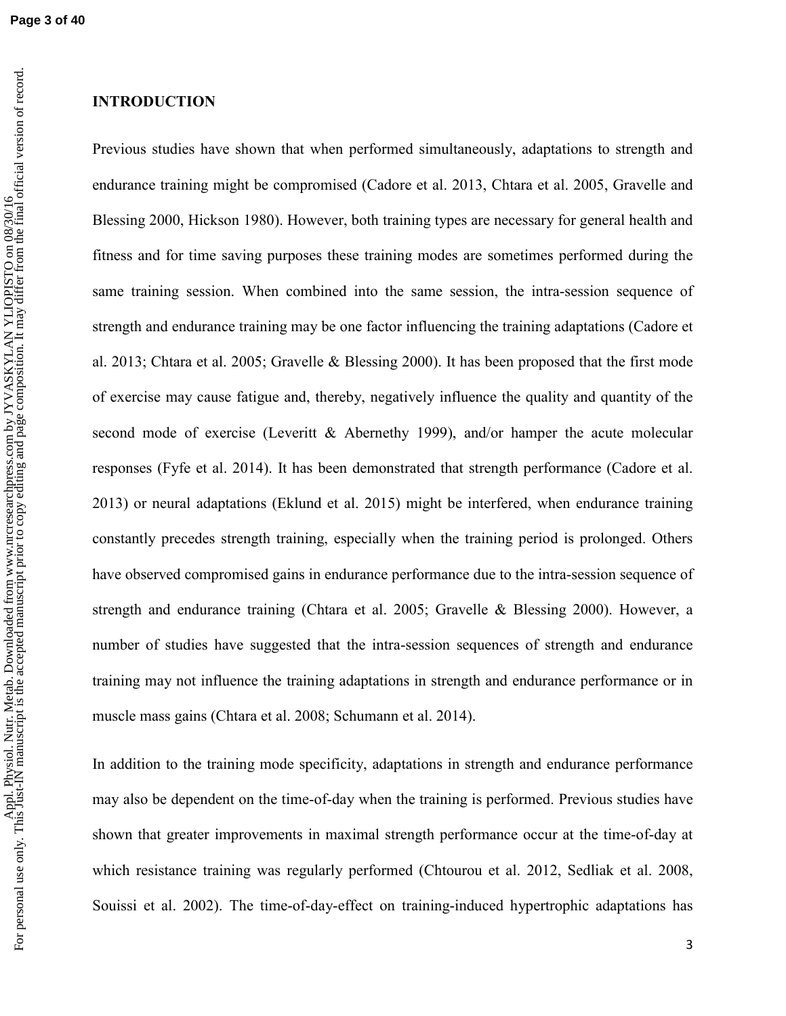# **INTRODUCTION**

Previous studies have shown that when performed simultaneously, adaptations to strength and endurance training might be compromised (Cadore et al. 2013, Chtara et al. 2005, Gravelle and Blessing 2000, Hickson 1980). However, both training types are necessary for general health and fitness and for time saving purposes these training modes are sometimes performed during the same training session. When combined into the same session, the intra-session sequence of strength and endurance training may be one factor influencing the training adaptations (Cadore et al. 2013; Chtara et al. 2005; Gravelle & Blessing 2000). It has been proposed that the first mode of exercise may cause fatigue and, thereby, negatively influence the quality and quantity of the second mode of exercise (Leveritt & Abernethy 1999), and/or hamper the acute molecular responses (Fyfe et al. 2014). It has been demonstrated that strength performance (Cadore et al. 2013) or neural adaptations (Eklund et al. 2015) might be interfered, when endurance training constantly precedes strength training, especially when the training period is prolonged. Others have observed compromised gains in endurance performance due to the intra-session sequence of strength and endurance training (Chtara et al. 2005; Gravelle & Blessing 2000). However, a number of studies have suggested that the intra-session sequences of strength and endurance training may not influence the training adaptations in strength and endurance performance or in muscle mass gains (Chtara et al. 2008; Schumann et al. 2014).

In addition to the training mode specificity, adaptations in strength and endurance performance may also be dependent on the time-of-day when the training is performed. Previous studies have shown that greater improvements in maximal strength performance occur at the time-of-day at which resistance training was regularly performed (Chtourou et al. 2012, Sedliak et al. 2008, Souissi et al. 2002). The time-of-day-effect on training-induced hypertrophic adaptations has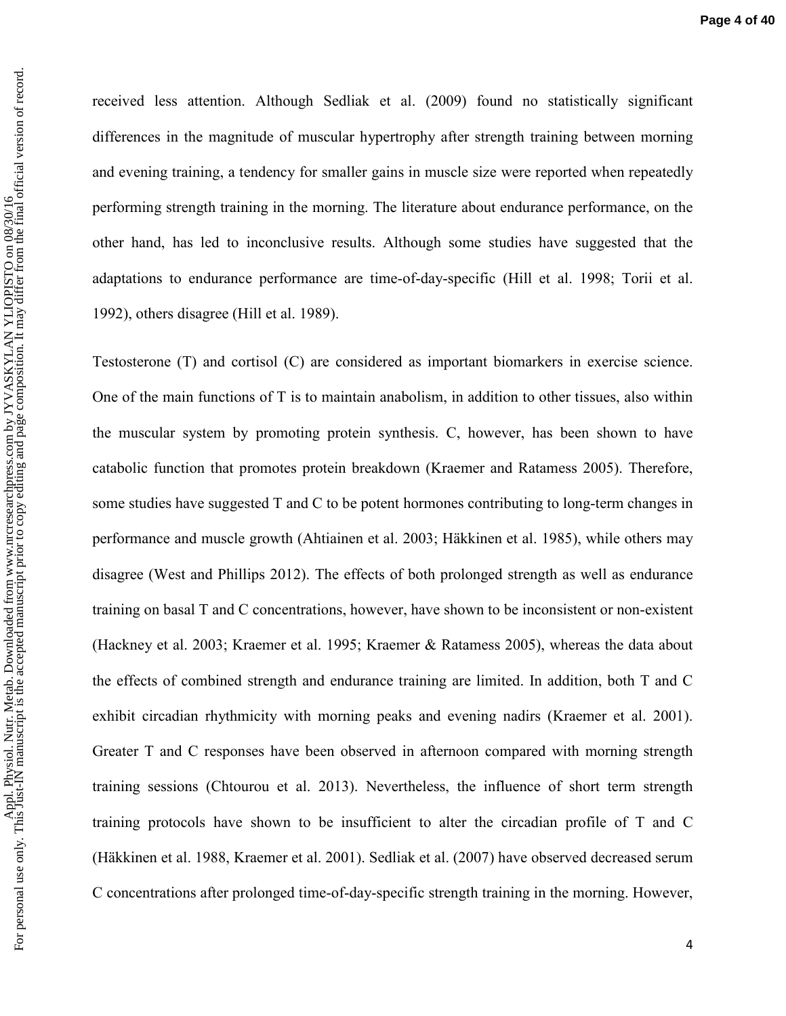received less attention. Although Sedliak et al. (2009) found no statistically significant differences in the magnitude of muscular hypertrophy after strength training between morning and evening training, a tendency for smaller gains in muscle size were reported when repeatedly performing strength training in the morning. The literature about endurance performance, on the other hand, has led to inconclusive results. Although some studies have suggested that the adaptations to endurance performance are time-of-day-specific (Hill et al. 1998; Torii et al. 1992), others disagree (Hill et al. 1989).

Testosterone (T) and cortisol (C) are considered as important biomarkers in exercise science. One of the main functions of T is to maintain anabolism, in addition to other tissues, also within the muscular system by promoting protein synthesis. C, however, has been shown to have catabolic function that promotes protein breakdown (Kraemer and Ratamess 2005). Therefore, some studies have suggested T and C to be potent hormones contributing to long-term changes in performance and muscle growth (Ahtiainen et al. 2003; Häkkinen et al. 1985), while others may disagree (West and Phillips 2012). The effects of both prolonged strength as well as endurance training on basal T and C concentrations, however, have shown to be inconsistent or non-existent (Hackney et al. 2003; Kraemer et al. 1995; Kraemer & Ratamess 2005), whereas the data about the effects of combined strength and endurance training are limited. In addition, both T and C exhibit circadian rhythmicity with morning peaks and evening nadirs (Kraemer et al. 2001). Greater T and C responses have been observed in afternoon compared with morning strength training sessions (Chtourou et al. 2013). Nevertheless, the influence of short term strength training protocols have shown to be insufficient to alter the circadian profile of T and C (Häkkinen et al. 1988, Kraemer et al. 2001). Sedliak et al. (2007) have observed decreased serum C concentrations after prolonged time-of-day-specific strength training in the morning. However,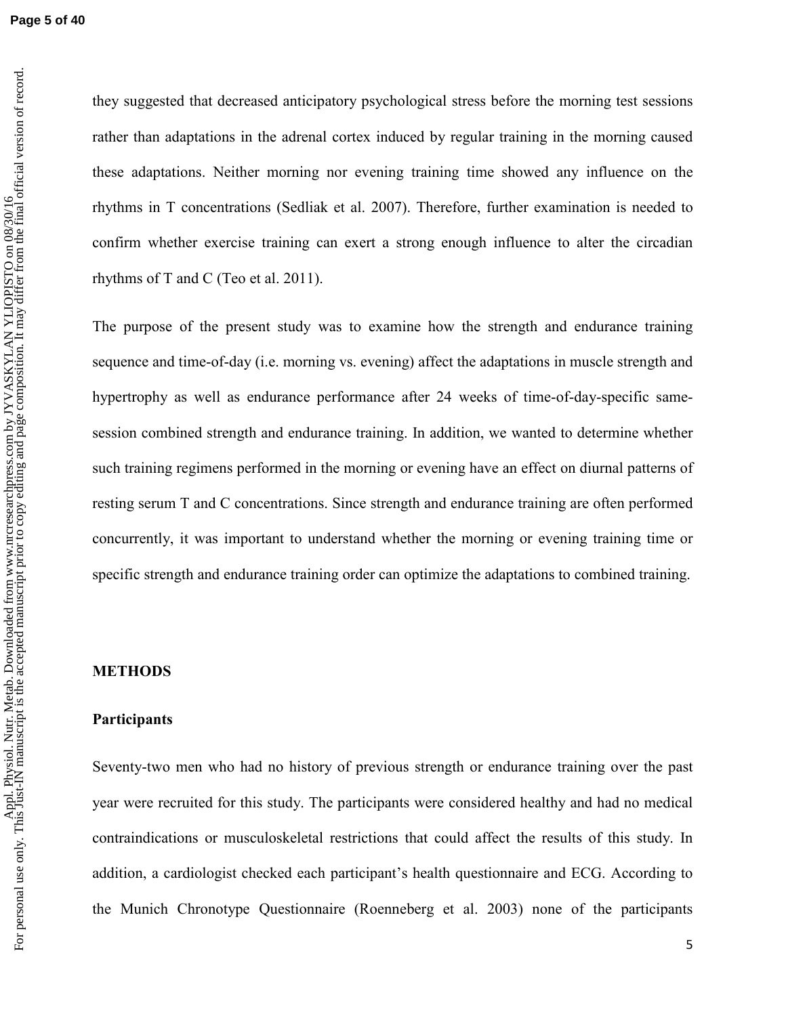they suggested that decreased anticipatory psychological stress before the morning test sessions rather than adaptations in the adrenal cortex induced by regular training in the morning caused these adaptations. Neither morning nor evening training time showed any influence on the rhythms in T concentrations (Sedliak et al. 2007). Therefore, further examination is needed to confirm whether exercise training can exert a strong enough influence to alter the circadian rhythms of T and C (Teo et al. 2011).

The purpose of the present study was to examine how the strength and endurance training sequence and time-of-day (i.e. morning vs. evening) affect the adaptations in muscle strength and hypertrophy as well as endurance performance after 24 weeks of time-of-day-specific samesession combined strength and endurance training. In addition, we wanted to determine whether such training regimens performed in the morning or evening have an effect on diurnal patterns of resting serum T and C concentrations. Since strength and endurance training are often performed concurrently, it was important to understand whether the morning or evening training time or specific strength and endurance training order can optimize the adaptations to combined training.

# **METHODS**

# **Participants**

Seventy-two men who had no history of previous strength or endurance training over the past year were recruited for this study. The participants were considered healthy and had no medical contraindications or musculoskeletal restrictions that could affect the results of this study. In addition, a cardiologist checked each participant's health questionnaire and ECG. According to the Munich Chronotype Questionnaire (Roenneberg et al. 2003) none of the participants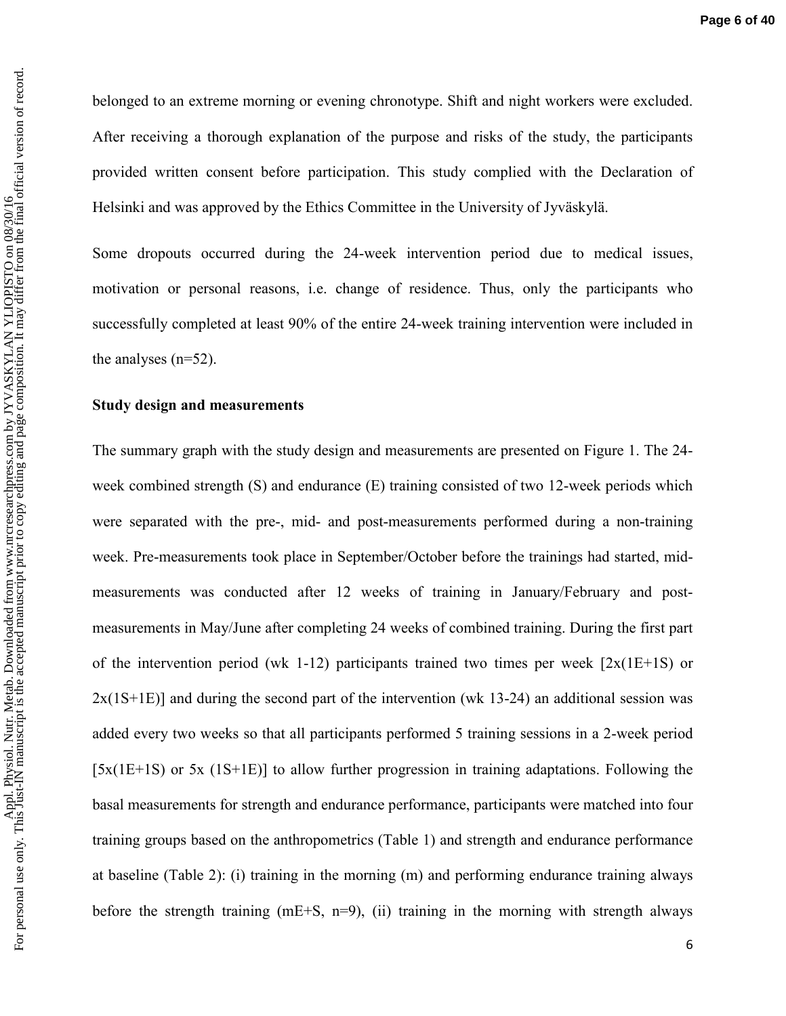belonged to an extreme morning or evening chronotype. Shift and night workers were excluded. After receiving a thorough explanation of the purpose and risks of the study, the participants provided written consent before participation. This study complied with the Declaration of Helsinki and was approved by the Ethics Committee in the University of Jyväskylä.

Some dropouts occurred during the 24-week intervention period due to medical issues, motivation or personal reasons, i.e. change of residence. Thus, only the participants who successfully completed at least 90% of the entire 24-week training intervention were included in the analyses (n=52).

# **Study design and measurements**

For personal use only. This Just-IN manuscript is the accepted manuscript or to copy editing and page composition. It may differ from the final official version of record.<br>For personal use only. This Just-IN manuscript is personal use only. This Just-IN manuscript is the accepted manuscript prior to copy editing and page composition. It may differ from the final official version of record.

 ${\rm For}$ 

The summary graph with the study design and measurements are presented on Figure 1. The 24 week combined strength (S) and endurance (E) training consisted of two 12-week periods which were separated with the pre-, mid- and post-measurements performed during a non-training week. Pre-measurements took place in September/October before the trainings had started, midmeasurements was conducted after 12 weeks of training in January/February and postmeasurements in May/June after completing 24 weeks of combined training. During the first part of the intervention period (wk 1-12) participants trained two times per week [2x(1E+1S) or  $2x(1S+1E)$ ] and during the second part of the intervention (wk 13-24) an additional session was added every two weeks so that all participants performed 5 training sessions in a 2-week period [5x(1E+1S) or 5x (1S+1E)] to allow further progression in training adaptations. Following the basal measurements for strength and endurance performance, participants were matched into four training groups based on the anthropometrics (Table 1) and strength and endurance performance at baseline (Table 2): (i) training in the morning (m) and performing endurance training always before the strength training (mE+S, n=9), (ii) training in the morning with strength always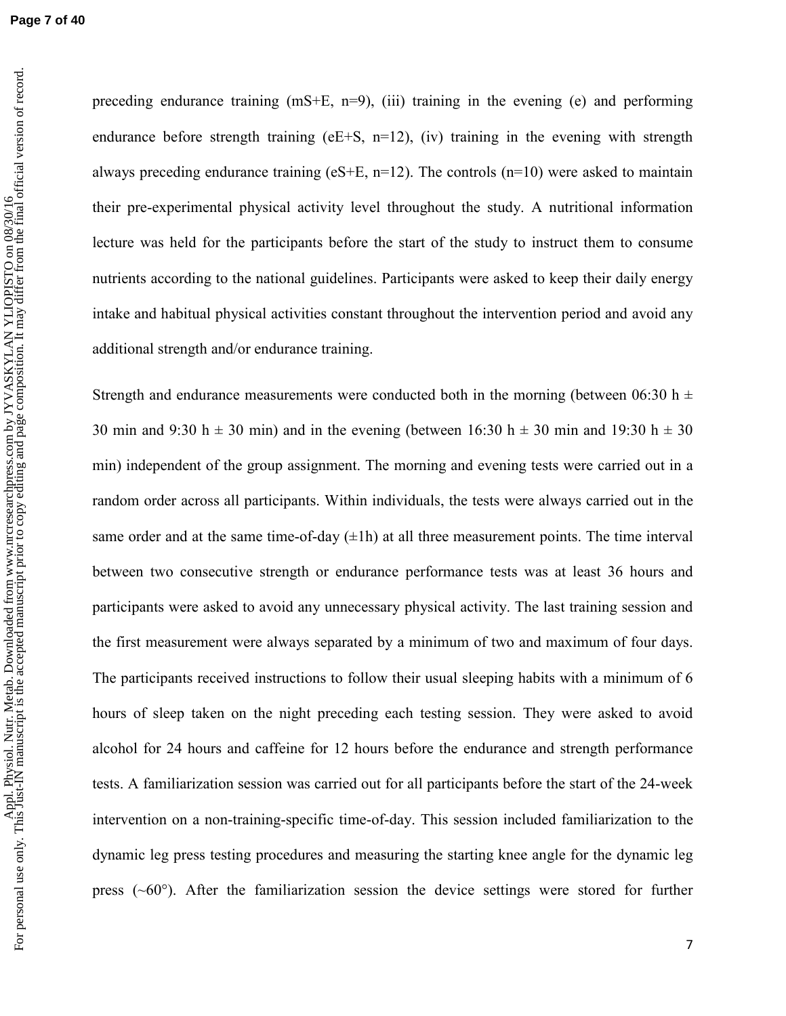**Page 7 of 40**

preceding endurance training (mS+E, n=9), (iii) training in the evening (e) and performing endurance before strength training (eE+S, n=12), (iv) training in the evening with strength always preceding endurance training ( $eS+E$ ,  $n=12$ ). The controls ( $n=10$ ) were asked to maintain their pre-experimental physical activity level throughout the study. A nutritional information lecture was held for the participants before the start of the study to instruct them to consume nutrients according to the national guidelines. Participants were asked to keep their daily energy intake and habitual physical activities constant throughout the intervention period and avoid any additional strength and/or endurance training.

Strength and endurance measurements were conducted both in the morning (between 06:30 h  $\pm$ 30 min and 9:30 h  $\pm$  30 min) and in the evening (between 16:30 h  $\pm$  30 min and 19:30 h  $\pm$  30 min) independent of the group assignment. The morning and evening tests were carried out in a random order across all participants. Within individuals, the tests were always carried out in the same order and at the same time-of-day  $(\pm 1h)$  at all three measurement points. The time interval between two consecutive strength or endurance performance tests was at least 36 hours and participants were asked to avoid any unnecessary physical activity. The last training session and the first measurement were always separated by a minimum of two and maximum of four days. The participants received instructions to follow their usual sleeping habits with a minimum of 6 hours of sleep taken on the night preceding each testing session. They were asked to avoid alcohol for 24 hours and caffeine for 12 hours before the endurance and strength performance tests. A familiarization session was carried out for all participants before the start of the 24-week intervention on a non-training-specific time-of-day. This session included familiarization to the dynamic leg press testing procedures and measuring the starting knee angle for the dynamic leg press  $({\sim}60^{\circ})$ . After the familiarization session the device settings were stored for further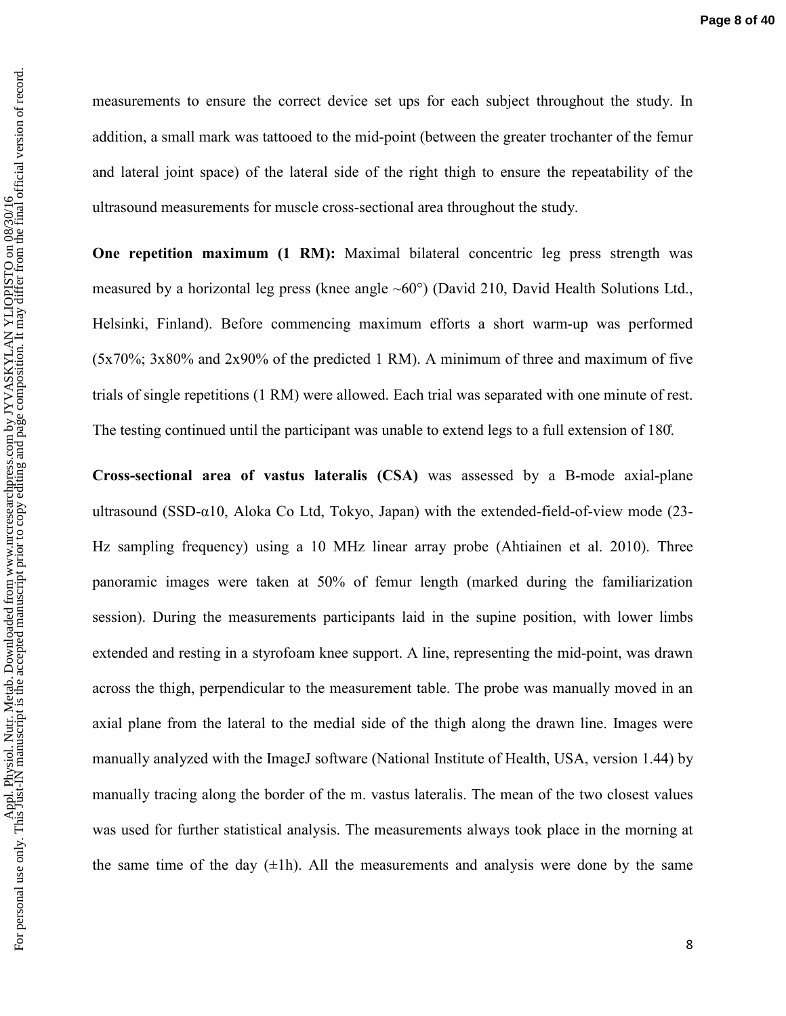measurements to ensure the correct device set ups for each subject throughout the study. In addition, a small mark was tattooed to the mid-point (between the greater trochanter of the femur and lateral joint space) of the lateral side of the right thigh to ensure the repeatability of the ultrasound measurements for muscle cross-sectional area throughout the study.

**One repetition maximum (1 RM):** Maximal bilateral concentric leg press strength was measured by a horizontal leg press (knee angle  $\sim 60^{\circ}$ ) (David 210, David Health Solutions Ltd., Helsinki, Finland). Before commencing maximum efforts a short warm-up was performed (5x70%; 3x80% and 2x90% of the predicted 1 RM). A minimum of three and maximum of five trials of single repetitions (1 RM) were allowed. Each trial was separated with one minute of rest. The testing continued until the participant was unable to extend legs to a full extension of 180̊.

**Cross-sectional area of vastus lateralis (CSA)** was assessed by a B-mode axial-plane ultrasound (SSD- $\alpha$ 10, Aloka Co Ltd, Tokyo, Japan) with the extended-field-of-view mode (23-Hz sampling frequency) using a 10 MHz linear array probe (Ahtiainen et al. 2010). Three panoramic images were taken at 50% of femur length (marked during the familiarization session). During the measurements participants laid in the supine position, with lower limbs extended and resting in a styrofoam knee support. A line, representing the mid-point, was drawn across the thigh, perpendicular to the measurement table. The probe was manually moved in an axial plane from the lateral to the medial side of the thigh along the drawn line. Images were manually analyzed with the ImageJ software (National Institute of Health, USA, version 1.44) by manually tracing along the border of the m. vastus lateralis. The mean of the two closest values was used for further statistical analysis. The measurements always took place in the morning at the same time of the day  $(\pm 1h)$ . All the measurements and analysis were done by the same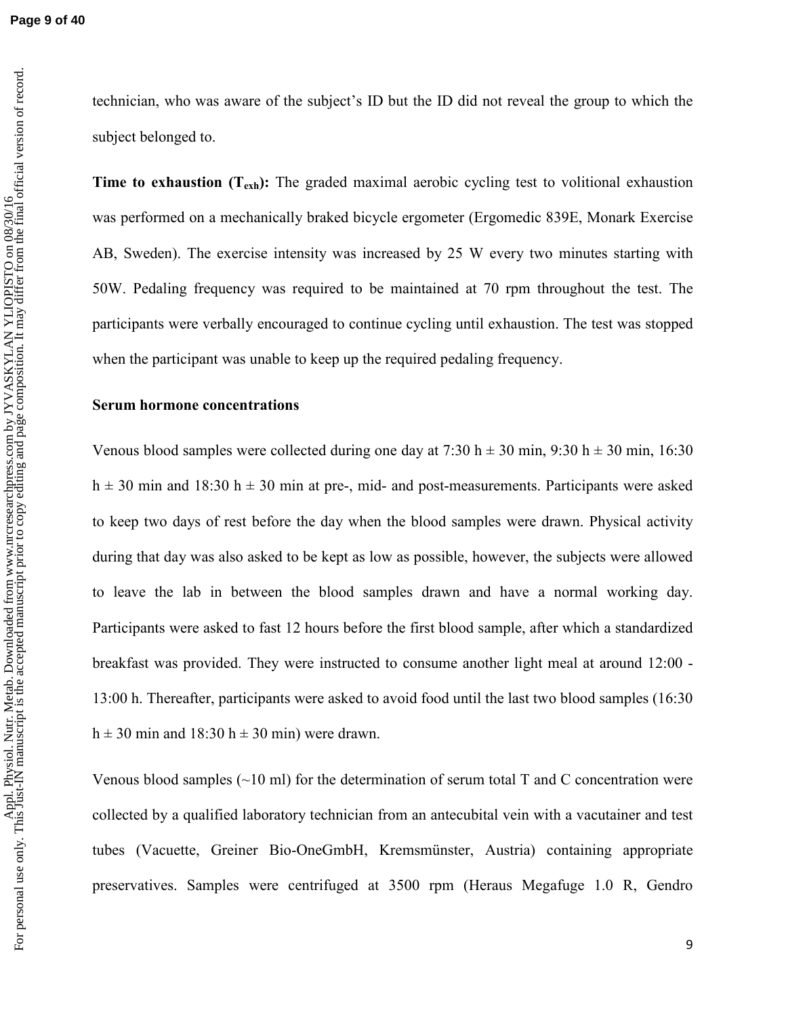technician, who was aware of the subject's ID but the ID did not reveal the group to which the subject belonged to.

Time to exhaustion (T<sub>exh</sub>): The graded maximal aerobic cycling test to volitional exhaustion was performed on a mechanically braked bicycle ergometer (Ergomedic 839E, Monark Exercise AB, Sweden). The exercise intensity was increased by 25 W every two minutes starting with 50W. Pedaling frequency was required to be maintained at 70 rpm throughout the test. The participants were verbally encouraged to continue cycling until exhaustion. The test was stopped when the participant was unable to keep up the required pedaling frequency.

# **Serum hormone concentrations**

Venous blood samples were collected during one day at 7:30 h  $\pm$  30 min, 9:30 h  $\pm$  30 min, 16:30  $h \pm 30$  min and 18:30 h  $\pm$  30 min at pre-, mid- and post-measurements. Participants were asked to keep two days of rest before the day when the blood samples were drawn. Physical activity during that day was also asked to be kept as low as possible, however, the subjects were allowed to leave the lab in between the blood samples drawn and have a normal working day. Participants were asked to fast 12 hours before the first blood sample, after which a standardized breakfast was provided. They were instructed to consume another light meal at around 12:00 - 13:00 h. Thereafter, participants were asked to avoid food until the last two blood samples (16:30  $h \pm 30$  min and 18:30  $h \pm 30$  min) were drawn.

Venous blood samples  $(\sim 10 \text{ ml})$  for the determination of serum total T and C concentration were collected by a qualified laboratory technician from an antecubital vein with a vacutainer and test tubes (Vacuette, Greiner Bio-OneGmbH, Kremsmünster, Austria) containing appropriate preservatives. Samples were centrifuged at 3500 rpm (Heraus Megafuge 1.0 R, Gendro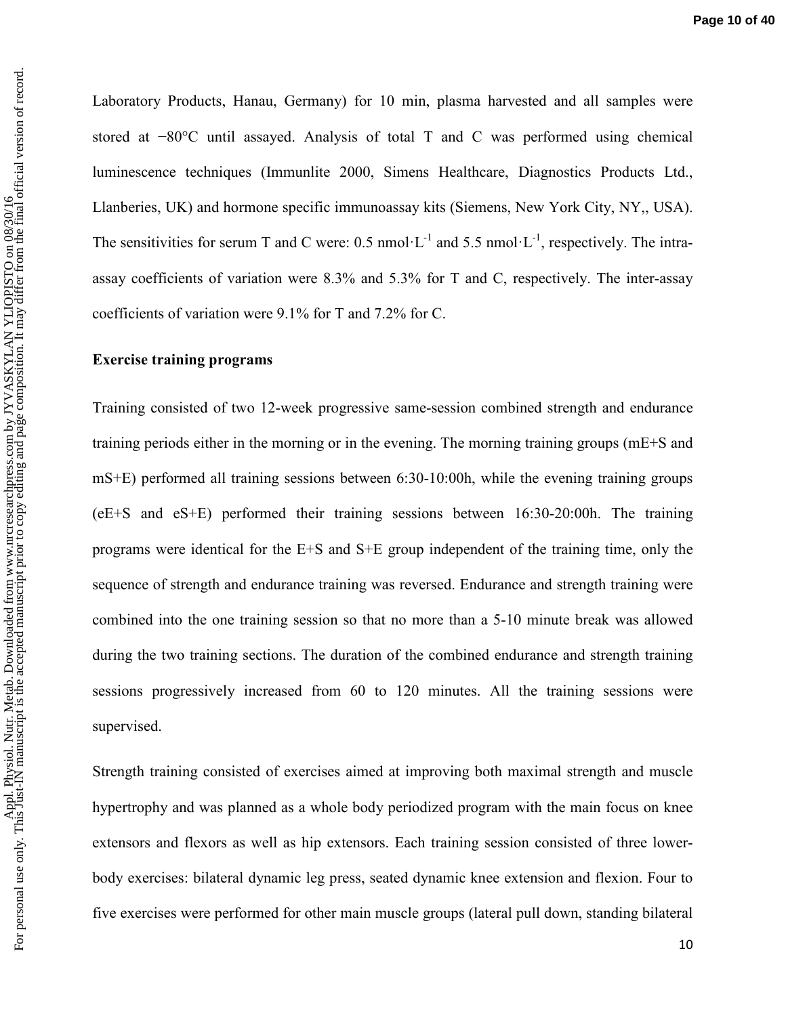Laboratory Products, Hanau, Germany) for 10 min, plasma harvested and all samples were stored at −80°C until assayed. Analysis of total T and C was performed using chemical luminescence techniques (Immunlite 2000, Simens Healthcare, Diagnostics Products Ltd., Llanberies, UK) and hormone specific immunoassay kits (Siemens, New York City, NY,, USA). The sensitivities for serum T and C were: 0.5 nmol $\cdot L^{-1}$  and 5.5 nmol $\cdot L^{-1}$ , respectively. The intraassay coefficients of variation were 8.3% and 5.3% for T and C, respectively. The inter-assay coefficients of variation were 9.1% for T and 7.2% for C.

# **Exercise training programs**

Training consisted of two 12-week progressive same-session combined strength and endurance training periods either in the morning or in the evening. The morning training groups (mE+S and mS+E) performed all training sessions between 6:30-10:00h, while the evening training groups (eE+S and eS+E) performed their training sessions between 16:30-20:00h. The training programs were identical for the E+S and S+E group independent of the training time, only the sequence of strength and endurance training was reversed. Endurance and strength training were combined into the one training session so that no more than a 5-10 minute break was allowed during the two training sections. The duration of the combined endurance and strength training sessions progressively increased from 60 to 120 minutes. All the training sessions were supervised.

Strength training consisted of exercises aimed at improving both maximal strength and muscle hypertrophy and was planned as a whole body periodized program with the main focus on knee extensors and flexors as well as hip extensors. Each training session consisted of three lowerbody exercises: bilateral dynamic leg press, seated dynamic knee extension and flexion. Four to five exercises were performed for other main muscle groups (lateral pull down, standing bilateral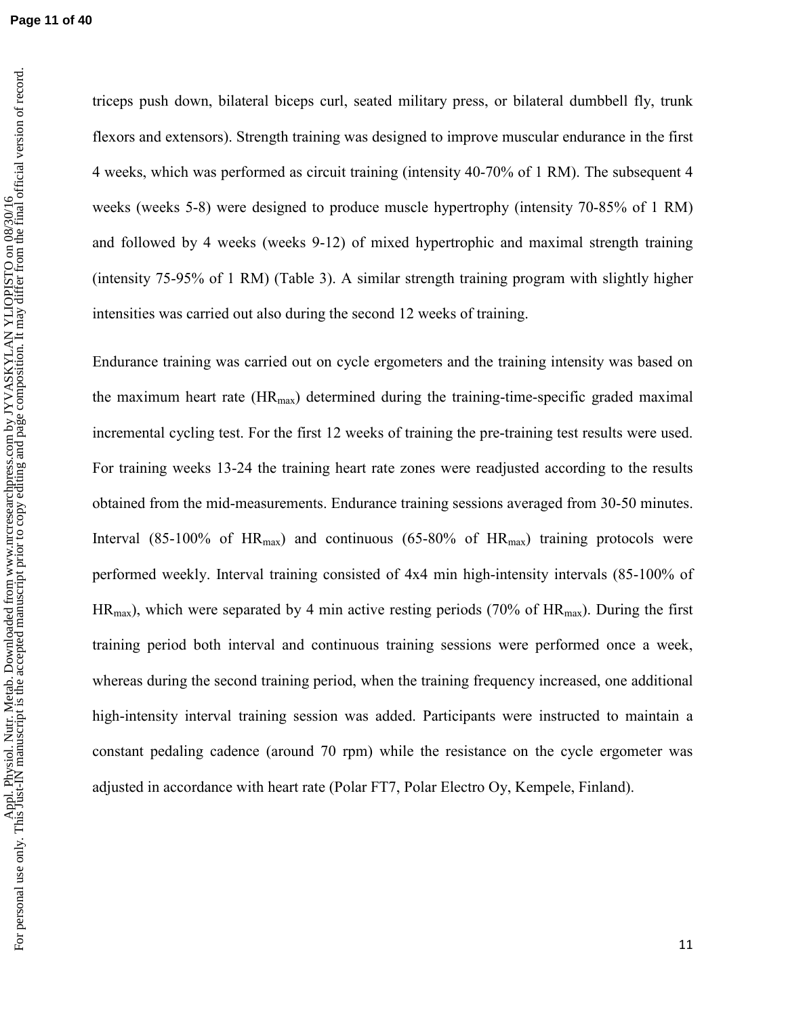**Page 11 of 40**

triceps push down, bilateral biceps curl, seated military press, or bilateral dumbbell fly, trunk flexors and extensors). Strength training was designed to improve muscular endurance in the first 4 weeks, which was performed as circuit training (intensity 40-70% of 1 RM). The subsequent 4 weeks (weeks 5-8) were designed to produce muscle hypertrophy (intensity 70-85% of 1 RM) and followed by 4 weeks (weeks 9-12) of mixed hypertrophic and maximal strength training (intensity 75-95% of 1 RM) (Table 3). A similar strength training program with slightly higher intensities was carried out also during the second 12 weeks of training.

Endurance training was carried out on cycle ergometers and the training intensity was based on the maximum heart rate  $(HR<sub>max</sub>)$  determined during the training-time-specific graded maximal incremental cycling test. For the first 12 weeks of training the pre-training test results were used. For training weeks 13-24 the training heart rate zones were readjusted according to the results obtained from the mid-measurements. Endurance training sessions averaged from 30-50 minutes. Interval (85-100% of  $HR_{max}$ ) and continuous (65-80% of  $HR_{max}$ ) training protocols were performed weekly. Interval training consisted of 4x4 min high-intensity intervals (85-100% of  $HR<sub>max</sub>$ ), which were separated by 4 min active resting periods (70% of  $HR<sub>max</sub>$ ). During the first training period both interval and continuous training sessions were performed once a week, whereas during the second training period, when the training frequency increased, one additional high-intensity interval training session was added. Participants were instructed to maintain a constant pedaling cadence (around 70 rpm) while the resistance on the cycle ergometer was adjusted in accordance with heart rate (Polar FT7, Polar Electro Oy, Kempele, Finland).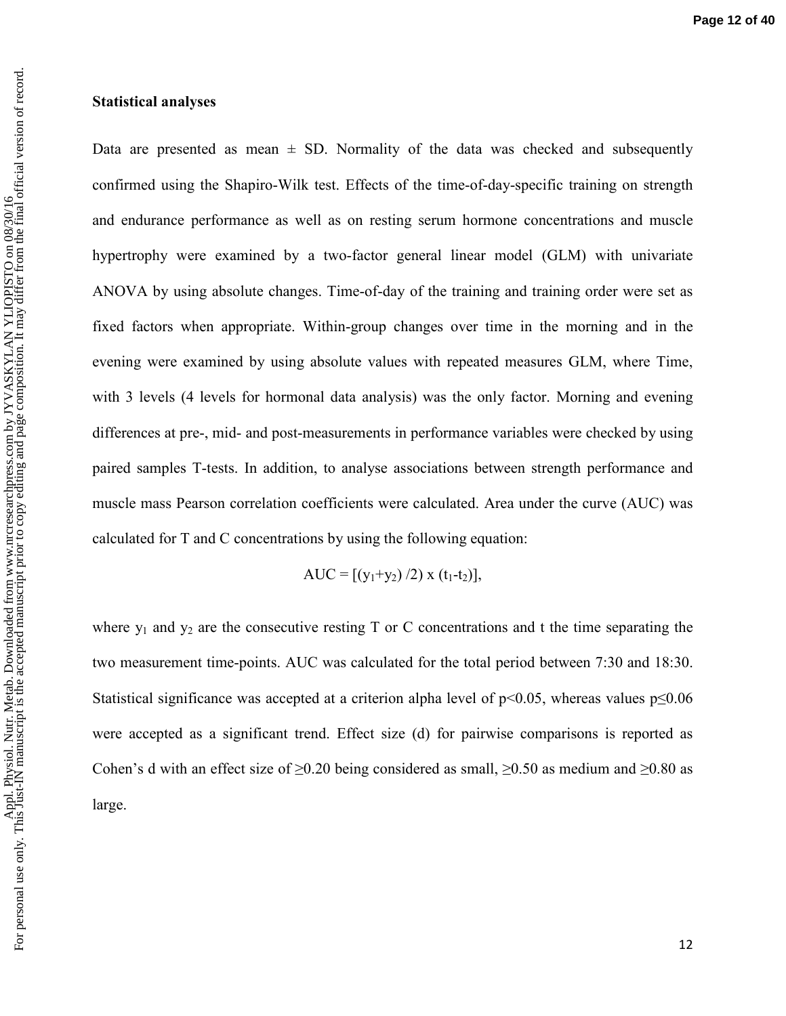#### **Statistical analyses**

Data are presented as mean  $\pm$  SD. Normality of the data was checked and subsequently confirmed using the Shapiro-Wilk test. Effects of the time-of-day-specific training on strength and endurance performance as well as on resting serum hormone concentrations and muscle hypertrophy were examined by a two-factor general linear model (GLM) with univariate ANOVA by using absolute changes. Time-of-day of the training and training order were set as fixed factors when appropriate. Within-group changes over time in the morning and in the evening were examined by using absolute values with repeated measures GLM, where Time, with 3 levels (4 levels for hormonal data analysis) was the only factor. Morning and evening differences at pre-, mid- and post-measurements in performance variables were checked by using paired samples T-tests. In addition, to analyse associations between strength performance and muscle mass Pearson correlation coefficients were calculated. Area under the curve (AUC) was calculated for T and C concentrations by using the following equation:

 $AUC = [(y_1+y_2)/2) x (t_1-t_2)],$ 

where  $y_1$  and  $y_2$  are the consecutive resting T or C concentrations and t the time separating the two measurement time-points. AUC was calculated for the total period between 7:30 and 18:30. Statistical significance was accepted at a criterion alpha level of  $p<0.05$ , whereas values  $p\leq0.06$ were accepted as a significant trend. Effect size (d) for pairwise comparisons is reported as Cohen's d with an effect size of  $\geq 0.20$  being considered as small,  $\geq 0.50$  as medium and  $\geq 0.80$  as large.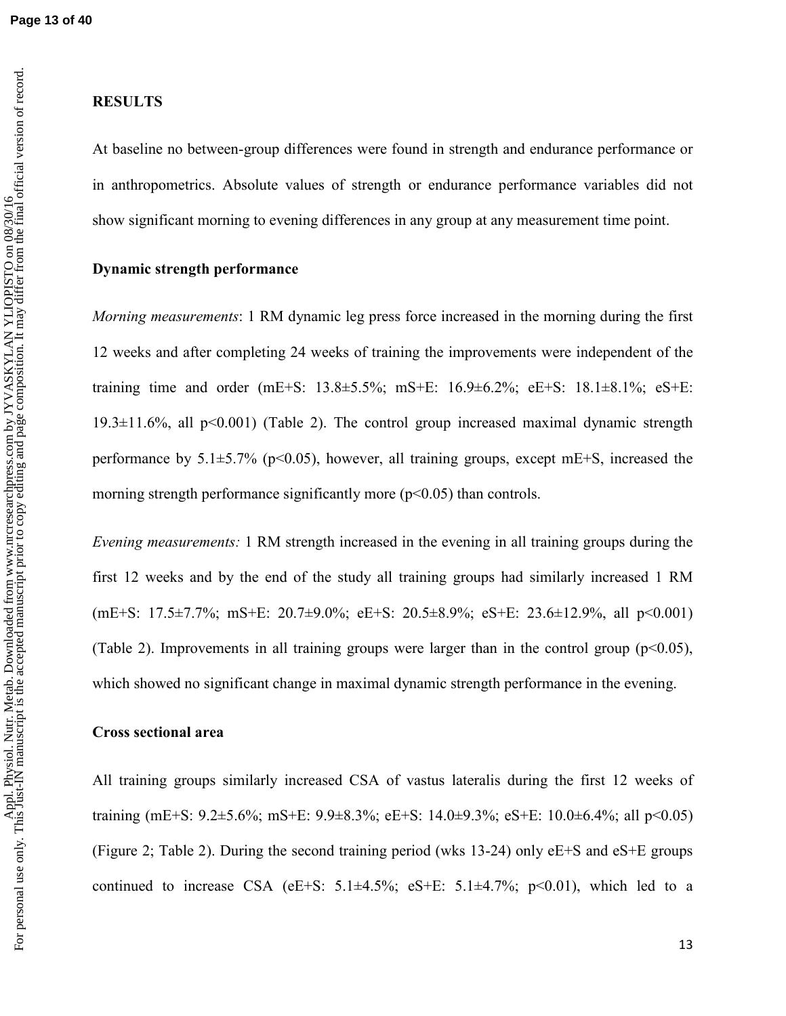# **RESULTS**

At baseline no between-group differences were found in strength and endurance performance or in anthropometrics. Absolute values of strength or endurance performance variables did not show significant morning to evening differences in any group at any measurement time point.

# **Dynamic strength performance**

*Morning measurements*: 1 RM dynamic leg press force increased in the morning during the first 12 weeks and after completing 24 weeks of training the improvements were independent of the training time and order (mE+S: 13.8±5.5%; mS+E: 16.9±6.2%; eE+S: 18.1±8.1%; eS+E: 19.3 $\pm$ 11.6%, all p<0.001) (Table 2). The control group increased maximal dynamic strength performance by  $5.1\pm5.7\%$  (p<0.05), however, all training groups, except mE+S, increased the morning strength performance significantly more  $(p<0.05)$  than controls.

*Evening measurements:* 1 RM strength increased in the evening in all training groups during the first 12 weeks and by the end of the study all training groups had similarly increased 1 RM (mE+S: 17.5±7.7%; mS+E: 20.7±9.0%; eE+S: 20.5±8.9%; eS+E: 23.6±12.9%, all p<0.001) (Table 2). Improvements in all training groups were larger than in the control group ( $p<0.05$ ), which showed no significant change in maximal dynamic strength performance in the evening.

#### **Cross sectional area**

All training groups similarly increased CSA of vastus lateralis during the first 12 weeks of training (mE+S: 9.2±5.6%; mS+E: 9.9±8.3%; eE+S: 14.0±9.3%; eS+E: 10.0±6.4%; all p<0.05) (Figure 2; Table 2). During the second training period (wks 13-24) only eE+S and eS+E groups continued to increase CSA (eE+S:  $5.1\pm4.5\%$ ; eS+E:  $5.1\pm4.7\%$ ; p<0.01), which led to a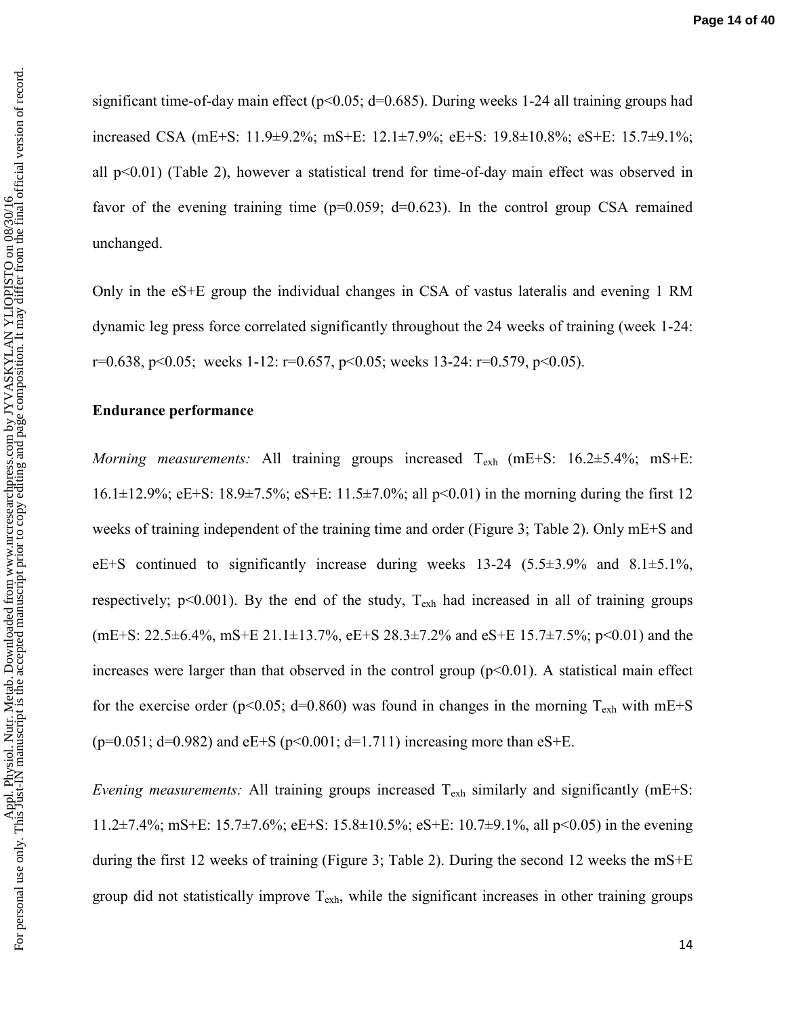significant time-of-day main effect ( $p<0.05$ ; d=0.685). During weeks 1-24 all training groups had increased CSA (mE+S: 11.9±9.2%; mS+E: 12.1±7.9%; eE+S: 19.8±10.8%; eS+E: 15.7±9.1%; all  $p<0.01$ ) (Table 2), however a statistical trend for time-of-day main effect was observed in favor of the evening training time ( $p=0.059$ ;  $d=0.623$ ). In the control group CSA remained unchanged.

Only in the eS+E group the individual changes in CSA of vastus lateralis and evening 1 RM dynamic leg press force correlated significantly throughout the 24 weeks of training (week 1-24: r=0.638, p<0.05; weeks 1-12: r=0.657, p<0.05; weeks 13-24: r=0.579, p<0.05).

## **Endurance performance**

*Morning measurements:* All training groups increased  $T_{exh}$  (mE+S: 16.2 $\pm$ 5.4%; mS+E: 16.1±12.9%; eE+S: 18.9±7.5%; eS+E: 11.5±7.0%; all p<0.01) in the morning during the first 12 weeks of training independent of the training time and order (Figure 3; Table 2). Only mE+S and eE+S continued to significantly increase during weeks  $13-24$  (5.5 $\pm$ 3.9% and 8.1 $\pm$ 5.1%, respectively;  $p<0.001$ ). By the end of the study,  $T_{exh}$  had increased in all of training groups (mE+S: 22.5±6.4%, mS+E 21.1±13.7%, eE+S 28.3±7.2% and eS+E 15.7±7.5%; p<0.01) and the increases were larger than that observed in the control group  $(p<0.01)$ . A statistical main effect for the exercise order (p<0.05; d=0.860) was found in changes in the morning  $T_{exh}$  with mE+S ( $p=0.051$ ; d=0.982) and eE+S ( $p<0.001$ ; d=1.711) increasing more than eS+E.

*Evening measurements:* All training groups increased  $T_{exh}$  similarly and significantly (mE+S: 11.2±7.4%; mS+E: 15.7±7.6%; eE+S: 15.8±10.5%; eS+E: 10.7±9.1%, all p<0.05) in the evening during the first 12 weeks of training (Figure 3; Table 2). During the second 12 weeks the mS+E group did not statistically improve  $T_{exh}$ , while the significant increases in other training groups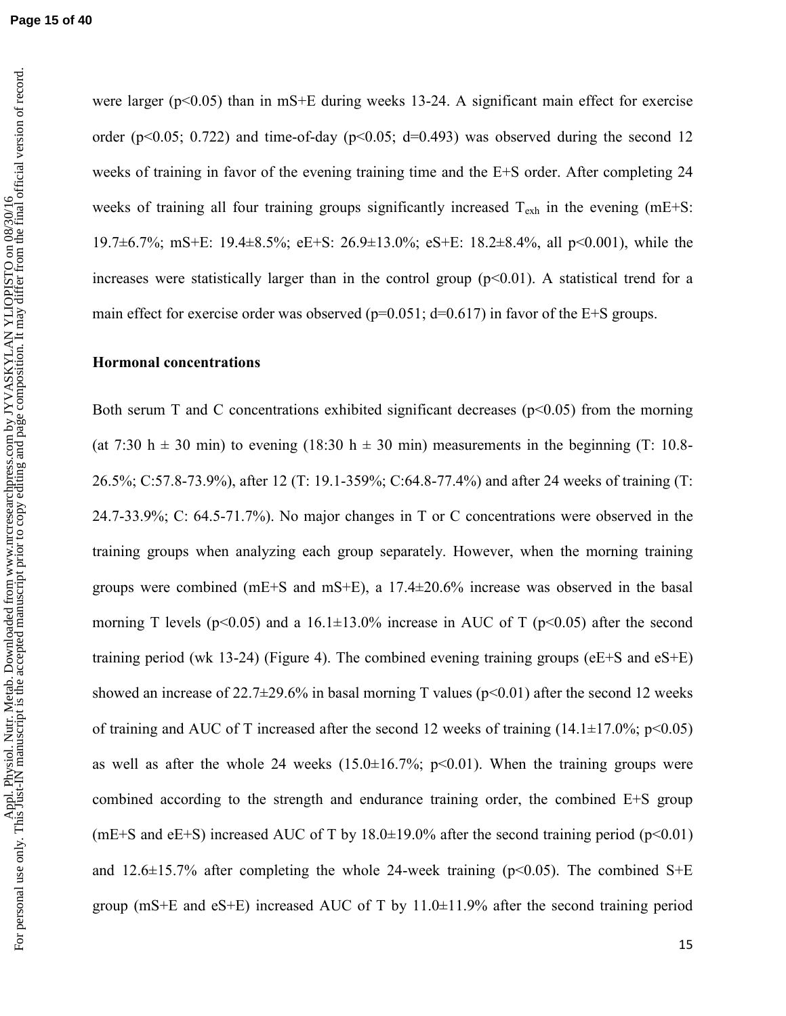**Page 15 of 40**

were larger ( $p<0.05$ ) than in mS+E during weeks 13-24. A significant main effect for exercise order ( $p<0.05$ ; 0.722) and time-of-day ( $p<0.05$ ; d=0.493) was observed during the second 12 weeks of training in favor of the evening training time and the E+S order. After completing 24 weeks of training all four training groups significantly increased  $T_{exh}$  in the evening (mE+S: 19.7±6.7%; mS+E: 19.4±8.5%; eE+S: 26.9±13.0%; eS+E: 18.2±8.4%, all p<0.001), while the increases were statistically larger than in the control group  $(p<0.01)$ . A statistical trend for a main effect for exercise order was observed ( $p=0.051$ ;  $d=0.617$ ) in favor of the E+S groups.

## **Hormonal concentrations**

Both serum T and C concentrations exhibited significant decreases ( $p$ <0.05) from the morning (at 7:30 h  $\pm$  30 min) to evening (18:30 h  $\pm$  30 min) measurements in the beginning (T: 10.8-26.5%; C:57.8-73.9%), after 12 (T: 19.1-359%; C:64.8-77.4%) and after 24 weeks of training (T: 24.7-33.9%; C: 64.5-71.7%). No major changes in T or C concentrations were observed in the training groups when analyzing each group separately. However, when the morning training groups were combined (mE+S and mS+E), a 17.4±20.6% increase was observed in the basal morning T levels ( $p \le 0.05$ ) and a 16.1±13.0% increase in AUC of T ( $p \le 0.05$ ) after the second training period (wk 13-24) (Figure 4). The combined evening training groups ( $eE+S$  and  $eS+E$ ) showed an increase of  $22.7\pm29.6\%$  in basal morning T values ( $p<0.01$ ) after the second 12 weeks of training and AUC of T increased after the second 12 weeks of training  $(14.1 \pm 17.0\%; p<0.05)$ as well as after the whole 24 weeks  $(15.0\pm16.7\%; p<0.01)$ . When the training groups were combined according to the strength and endurance training order, the combined E+S group (mE+S and eE+S) increased AUC of T by  $18.0\pm19.0\%$  after the second training period (p<0.01) and  $12.6\pm15.7\%$  after completing the whole 24-week training (p<0.05). The combined S+E group (mS+E and eS+E) increased AUC of T by  $11.0\pm11.9\%$  after the second training period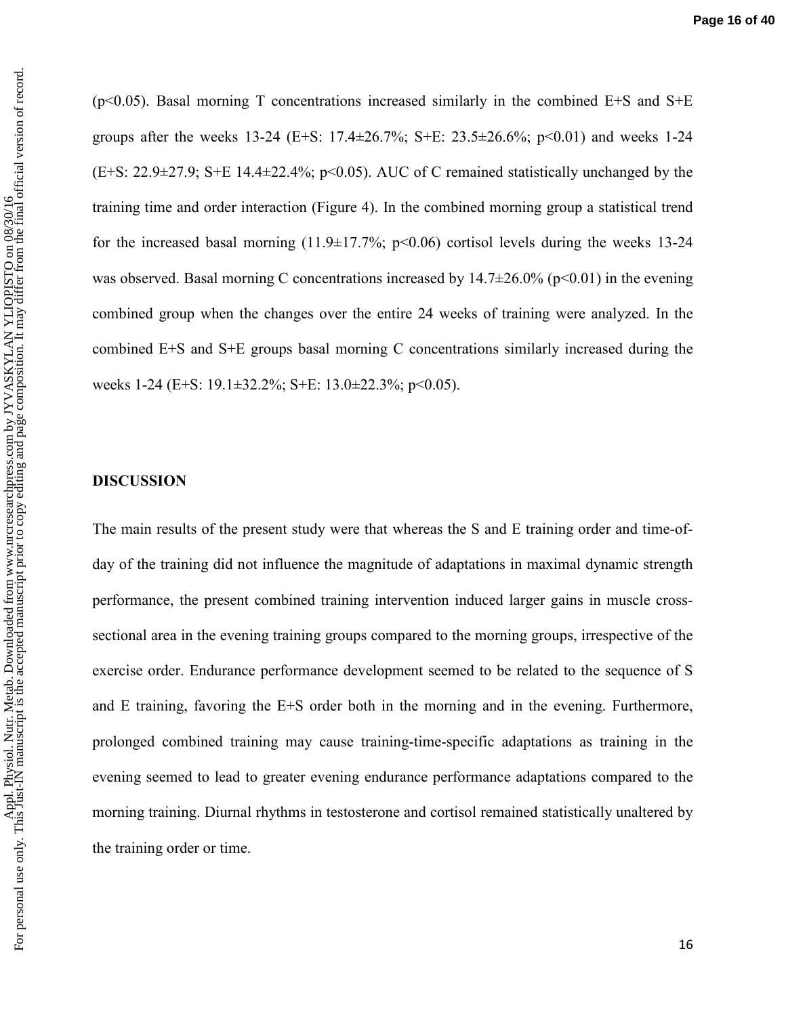$(p<0.05)$ . Basal morning T concentrations increased similarly in the combined E+S and S+E groups after the weeks 13-24 (E+S:  $17.4 \pm 26.7\%$ ; S+E:  $23.5 \pm 26.6\%$ ; p<0.01) and weeks 1-24  $(E+S: 22.9\pm 27.9; S+E 14.4\pm 22.4\%; p<0.05)$ . AUC of C remained statistically unchanged by the training time and order interaction (Figure 4). In the combined morning group a statistical trend for the increased basal morning  $(11.9 \pm 17.7\%; p<0.06)$  cortisol levels during the weeks 13-24 was observed. Basal morning C concentrations increased by  $14.7\pm 26.0\%$  (p<0.01) in the evening combined group when the changes over the entire 24 weeks of training were analyzed. In the combined E+S and S+E groups basal morning C concentrations similarly increased during the weeks 1-24 (E+S: 19.1±32.2%; S+E: 13.0±22.3%; p<0.05).

#### **DISCUSSION**

The main results of the present study were that whereas the S and E training order and time-ofday of the training did not influence the magnitude of adaptations in maximal dynamic strength performance, the present combined training intervention induced larger gains in muscle crosssectional area in the evening training groups compared to the morning groups, irrespective of the exercise order. Endurance performance development seemed to be related to the sequence of S and E training, favoring the E+S order both in the morning and in the evening. Furthermore, prolonged combined training may cause training-time-specific adaptations as training in the evening seemed to lead to greater evening endurance performance adaptations compared to the morning training. Diurnal rhythms in testosterone and cortisol remained statistically unaltered by the training order or time.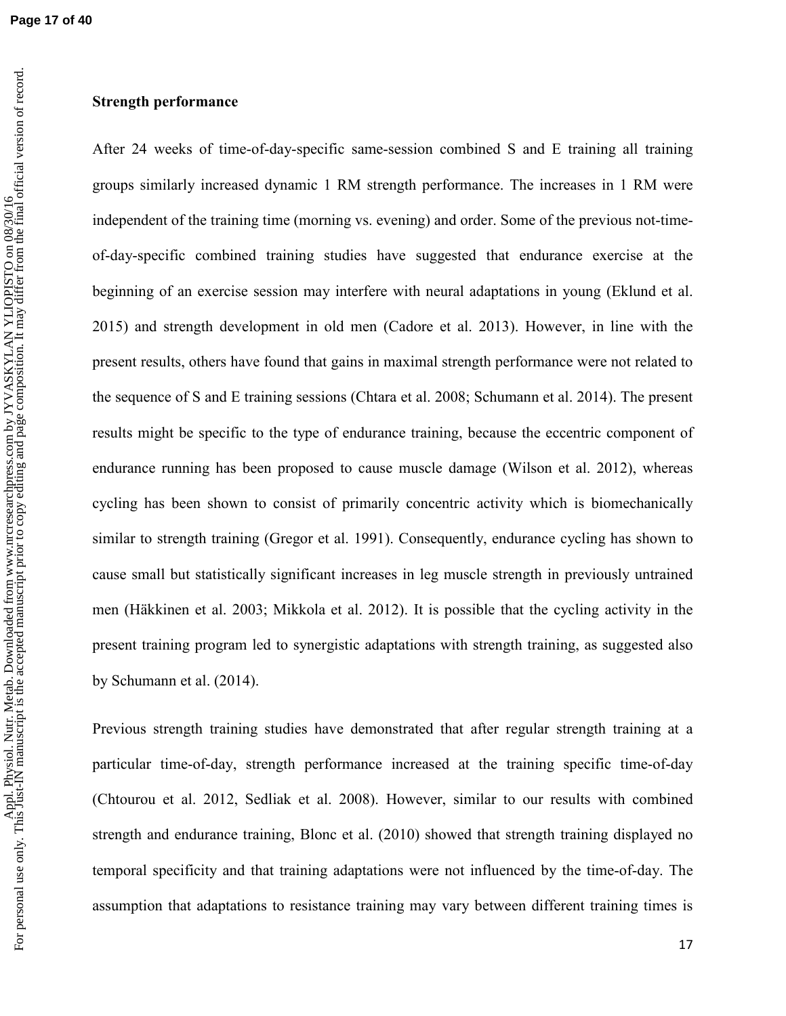#### **Strength performance**

After 24 weeks of time-of-day-specific same-session combined S and E training all training groups similarly increased dynamic 1 RM strength performance. The increases in 1 RM were independent of the training time (morning vs. evening) and order. Some of the previous not-timeof-day-specific combined training studies have suggested that endurance exercise at the beginning of an exercise session may interfere with neural adaptations in young (Eklund et al. 2015) and strength development in old men (Cadore et al. 2013). However, in line with the present results, others have found that gains in maximal strength performance were not related to the sequence of S and E training sessions (Chtara et al. 2008; Schumann et al. 2014). The present results might be specific to the type of endurance training, because the eccentric component of endurance running has been proposed to cause muscle damage (Wilson et al. 2012), whereas cycling has been shown to consist of primarily concentric activity which is biomechanically similar to strength training (Gregor et al. 1991). Consequently, endurance cycling has shown to cause small but statistically significant increases in leg muscle strength in previously untrained men (Häkkinen et al. 2003; Mikkola et al. 2012). It is possible that the cycling activity in the present training program led to synergistic adaptations with strength training, as suggested also by Schumann et al. (2014).

Previous strength training studies have demonstrated that after regular strength training at a particular time-of-day, strength performance increased at the training specific time-of-day (Chtourou et al. 2012, Sedliak et al. 2008). However, similar to our results with combined strength and endurance training, Blonc et al. (2010) showed that strength training displayed no temporal specificity and that training adaptations were not influenced by the time-of-day. The assumption that adaptations to resistance training may vary between different training times is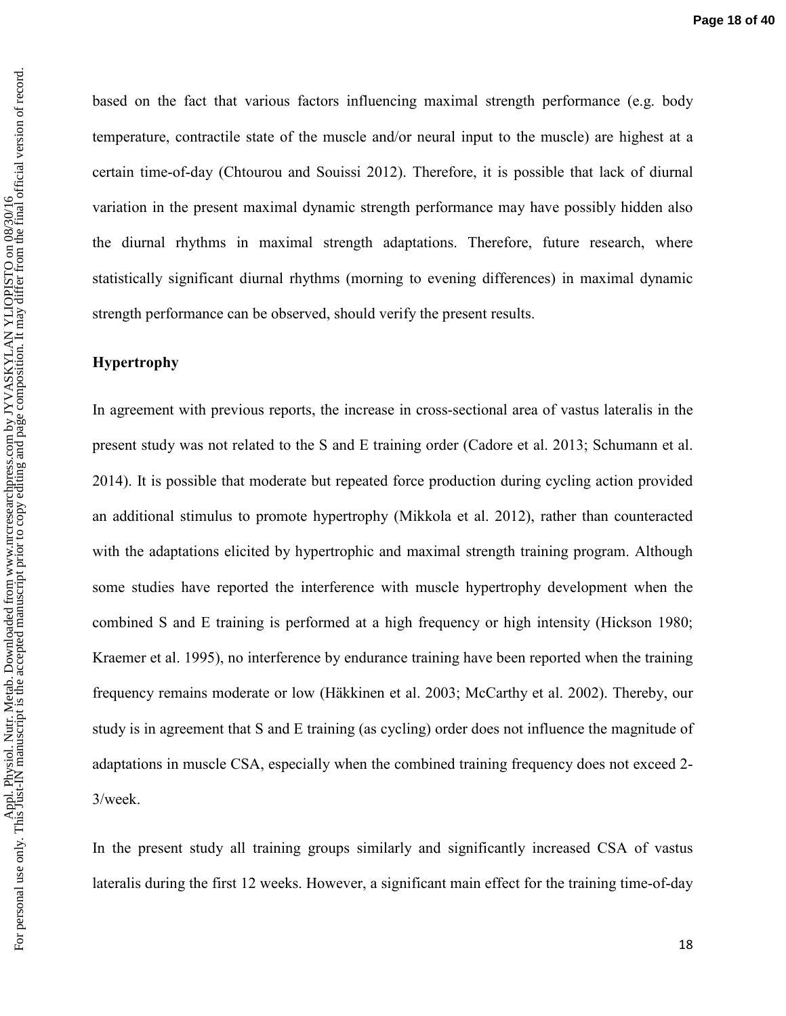based on the fact that various factors influencing maximal strength performance (e.g. body temperature, contractile state of the muscle and/or neural input to the muscle) are highest at a certain time-of-day (Chtourou and Souissi 2012). Therefore, it is possible that lack of diurnal variation in the present maximal dynamic strength performance may have possibly hidden also the diurnal rhythms in maximal strength adaptations. Therefore, future research, where statistically significant diurnal rhythms (morning to evening differences) in maximal dynamic strength performance can be observed, should verify the present results.

# **Hypertrophy**

In agreement with previous reports, the increase in cross-sectional area of vastus lateralis in the present study was not related to the S and E training order (Cadore et al. 2013; Schumann et al. 2014). It is possible that moderate but repeated force production during cycling action provided an additional stimulus to promote hypertrophy (Mikkola et al. 2012), rather than counteracted with the adaptations elicited by hypertrophic and maximal strength training program. Although some studies have reported the interference with muscle hypertrophy development when the combined S and E training is performed at a high frequency or high intensity (Hickson 1980; Kraemer et al. 1995), no interference by endurance training have been reported when the training frequency remains moderate or low (Häkkinen et al. 2003; McCarthy et al. 2002). Thereby, our study is in agreement that S and E training (as cycling) order does not influence the magnitude of adaptations in muscle CSA, especially when the combined training frequency does not exceed 2- 3/week.

In the present study all training groups similarly and significantly increased CSA of vastus lateralis during the first 12 weeks. However, a significant main effect for the training time-of-day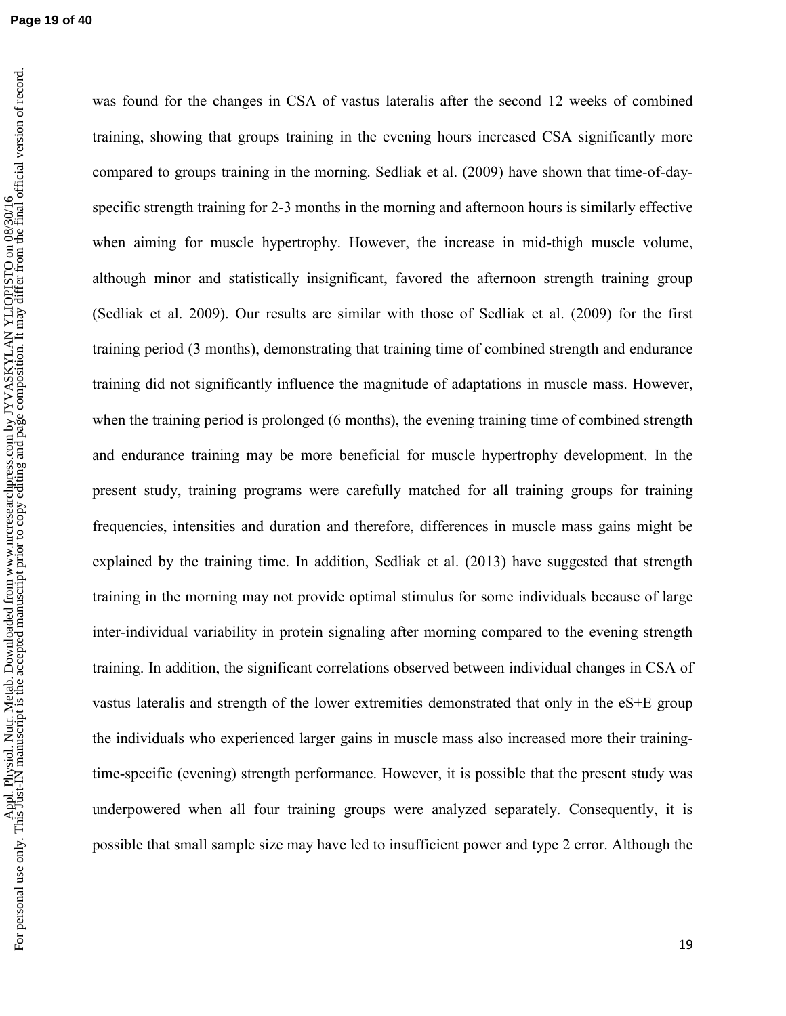**Page 19 of 40**

was found for the changes in CSA of vastus lateralis after the second 12 weeks of combined training, showing that groups training in the evening hours increased CSA significantly more compared to groups training in the morning. Sedliak et al. (2009) have shown that time-of-dayspecific strength training for 2-3 months in the morning and afternoon hours is similarly effective when aiming for muscle hypertrophy. However, the increase in mid-thigh muscle volume, although minor and statistically insignificant, favored the afternoon strength training group (Sedliak et al. 2009). Our results are similar with those of Sedliak et al. (2009) for the first training period (3 months), demonstrating that training time of combined strength and endurance training did not significantly influence the magnitude of adaptations in muscle mass. However, when the training period is prolonged (6 months), the evening training time of combined strength and endurance training may be more beneficial for muscle hypertrophy development. In the present study, training programs were carefully matched for all training groups for training frequencies, intensities and duration and therefore, differences in muscle mass gains might be explained by the training time. In addition, Sedliak et al. (2013) have suggested that strength training in the morning may not provide optimal stimulus for some individuals because of large inter-individual variability in protein signaling after morning compared to the evening strength training. In addition, the significant correlations observed between individual changes in CSA of vastus lateralis and strength of the lower extremities demonstrated that only in the eS+E group the individuals who experienced larger gains in muscle mass also increased more their trainingtime-specific (evening) strength performance. However, it is possible that the present study was underpowered when all four training groups were analyzed separately. Consequently, it is possible that small sample size may have led to insufficient power and type 2 error. Although the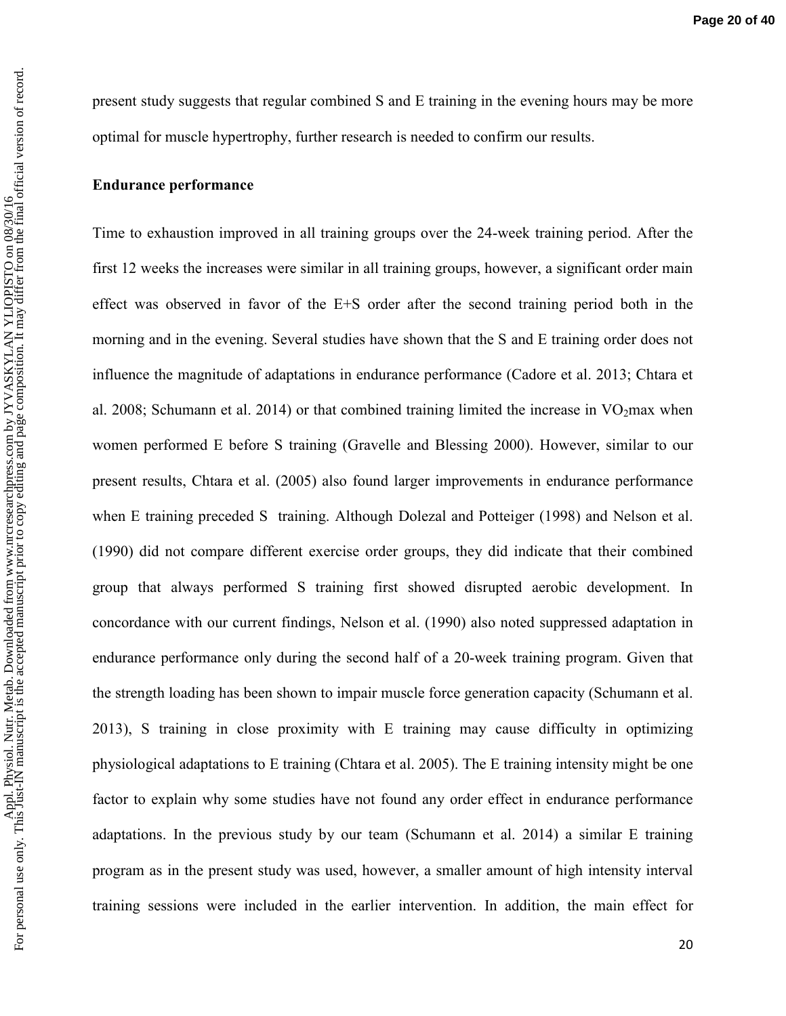present study suggests that regular combined S and E training in the evening hours may be more optimal for muscle hypertrophy, further research is needed to confirm our results.

#### **Endurance performance**

Time to exhaustion improved in all training groups over the 24-week training period. After the first 12 weeks the increases were similar in all training groups, however, a significant order main effect was observed in favor of the E+S order after the second training period both in the morning and in the evening. Several studies have shown that the S and E training order does not influence the magnitude of adaptations in endurance performance (Cadore et al. 2013; Chtara et al. 2008; Schumann et al. 2014) or that combined training limited the increase in  $VO<sub>2</sub>$ max when women performed E before S training (Gravelle and Blessing 2000). However, similar to our present results, Chtara et al. (2005) also found larger improvements in endurance performance when E training preceded S training. Although Dolezal and Potteiger (1998) and Nelson et al. (1990) did not compare different exercise order groups, they did indicate that their combined group that always performed S training first showed disrupted aerobic development. In concordance with our current findings, Nelson et al. (1990) also noted suppressed adaptation in endurance performance only during the second half of a 20-week training program. Given that the strength loading has been shown to impair muscle force generation capacity (Schumann et al. 2013), S training in close proximity with E training may cause difficulty in optimizing physiological adaptations to E training (Chtara et al. 2005). The E training intensity might be one factor to explain why some studies have not found any order effect in endurance performance adaptations. In the previous study by our team (Schumann et al. 2014) a similar E training program as in the present study was used, however, a smaller amount of high intensity interval training sessions were included in the earlier intervention. In addition, the main effect for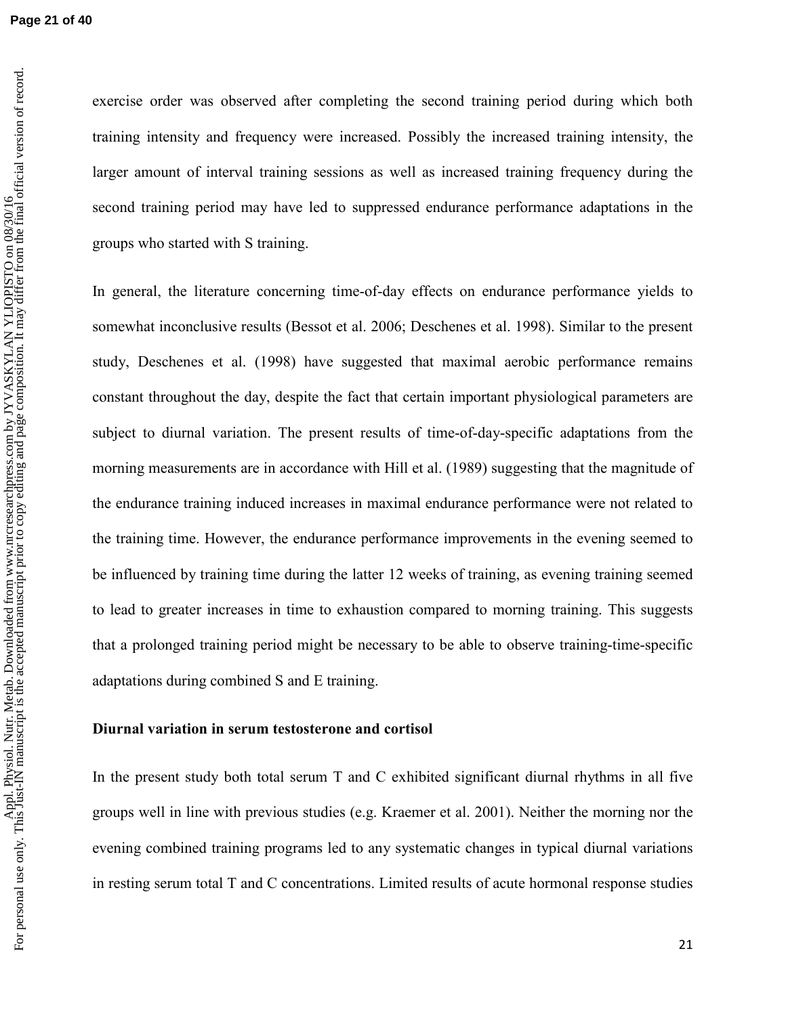**Page 21 of 40**

exercise order was observed after completing the second training period during which both training intensity and frequency were increased. Possibly the increased training intensity, the larger amount of interval training sessions as well as increased training frequency during the second training period may have led to suppressed endurance performance adaptations in the groups who started with S training.

In general, the literature concerning time-of-day effects on endurance performance yields to somewhat inconclusive results (Bessot et al. 2006; Deschenes et al. 1998). Similar to the present study, Deschenes et al. (1998) have suggested that maximal aerobic performance remains constant throughout the day, despite the fact that certain important physiological parameters are subject to diurnal variation. The present results of time-of-day-specific adaptations from the morning measurements are in accordance with Hill et al. (1989) suggesting that the magnitude of the endurance training induced increases in maximal endurance performance were not related to the training time. However, the endurance performance improvements in the evening seemed to be influenced by training time during the latter 12 weeks of training, as evening training seemed to lead to greater increases in time to exhaustion compared to morning training. This suggests that a prolonged training period might be necessary to be able to observe training-time-specific adaptations during combined S and E training.

## **Diurnal variation in serum testosterone and cortisol**

In the present study both total serum T and C exhibited significant diurnal rhythms in all five groups well in line with previous studies (e.g. Kraemer et al. 2001). Neither the morning nor the evening combined training programs led to any systematic changes in typical diurnal variations in resting serum total T and C concentrations. Limited results of acute hormonal response studies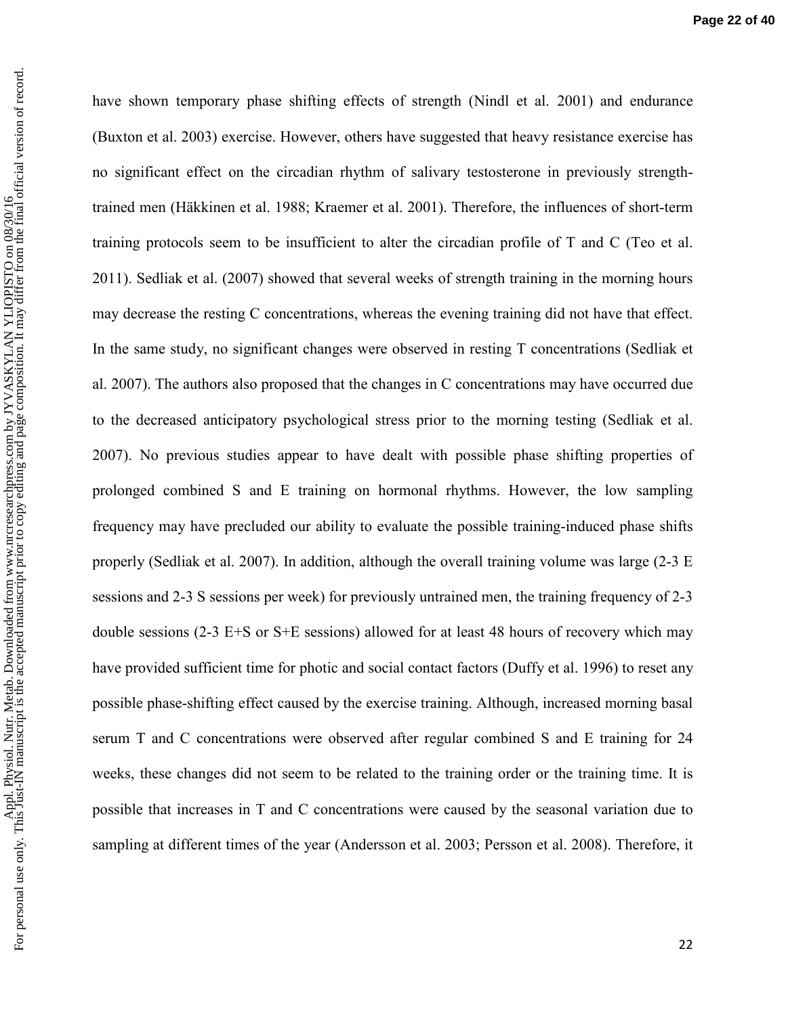${\rm For}$ 

have shown temporary phase shifting effects of strength (Nindl et al. 2001) and endurance (Buxton et al. 2003) exercise. However, others have suggested that heavy resistance exercise has no significant effect on the circadian rhythm of salivary testosterone in previously strengthtrained men (Häkkinen et al. 1988; Kraemer et al. 2001). Therefore, the influences of short-term training protocols seem to be insufficient to alter the circadian profile of T and C (Teo et al. 2011). Sedliak et al. (2007) showed that several weeks of strength training in the morning hours may decrease the resting C concentrations, whereas the evening training did not have that effect. In the same study, no significant changes were observed in resting T concentrations (Sedliak et al. 2007). The authors also proposed that the changes in C concentrations may have occurred due to the decreased anticipatory psychological stress prior to the morning testing (Sedliak et al. 2007). No previous studies appear to have dealt with possible phase shifting properties of prolonged combined S and E training on hormonal rhythms. However, the low sampling frequency may have precluded our ability to evaluate the possible training-induced phase shifts properly (Sedliak et al. 2007). In addition, although the overall training volume was large (2-3 E sessions and 2-3 S sessions per week) for previously untrained men, the training frequency of 2-3 double sessions  $(2-3 E+S \text{ or } S+E \text{ sessions})$  allowed for at least 48 hours of recovery which may have provided sufficient time for photic and social contact factors (Duffy et al. 1996) to reset any possible phase-shifting effect caused by the exercise training. Although, increased morning basal serum T and C concentrations were observed after regular combined S and E training for 24 weeks, these changes did not seem to be related to the training order or the training time. It is possible that increases in T and C concentrations were caused by the seasonal variation due to sampling at different times of the year (Andersson et al. 2003; Persson et al. 2008). Therefore, it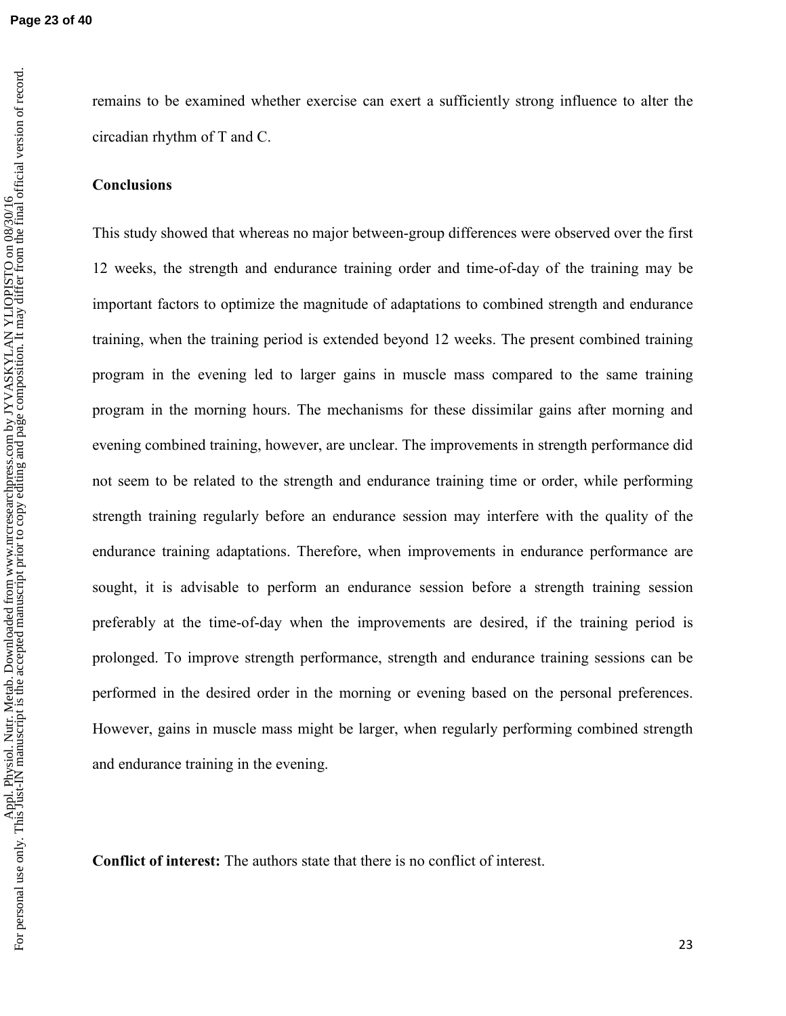remains to be examined whether exercise can exert a sufficiently strong influence to alter the circadian rhythm of T and C.

#### **Conclusions**

This study showed that whereas no major between-group differences were observed over the first 12 weeks, the strength and endurance training order and time-of-day of the training may be important factors to optimize the magnitude of adaptations to combined strength and endurance training, when the training period is extended beyond 12 weeks. The present combined training program in the evening led to larger gains in muscle mass compared to the same training program in the morning hours. The mechanisms for these dissimilar gains after morning and evening combined training, however, are unclear. The improvements in strength performance did not seem to be related to the strength and endurance training time or order, while performing strength training regularly before an endurance session may interfere with the quality of the endurance training adaptations. Therefore, when improvements in endurance performance are sought, it is advisable to perform an endurance session before a strength training session preferably at the time-of-day when the improvements are desired, if the training period is prolonged. To improve strength performance, strength and endurance training sessions can be performed in the desired order in the morning or evening based on the personal preferences. However, gains in muscle mass might be larger, when regularly performing combined strength and endurance training in the evening.

**Conflict of interest:** The authors state that there is no conflict of interest.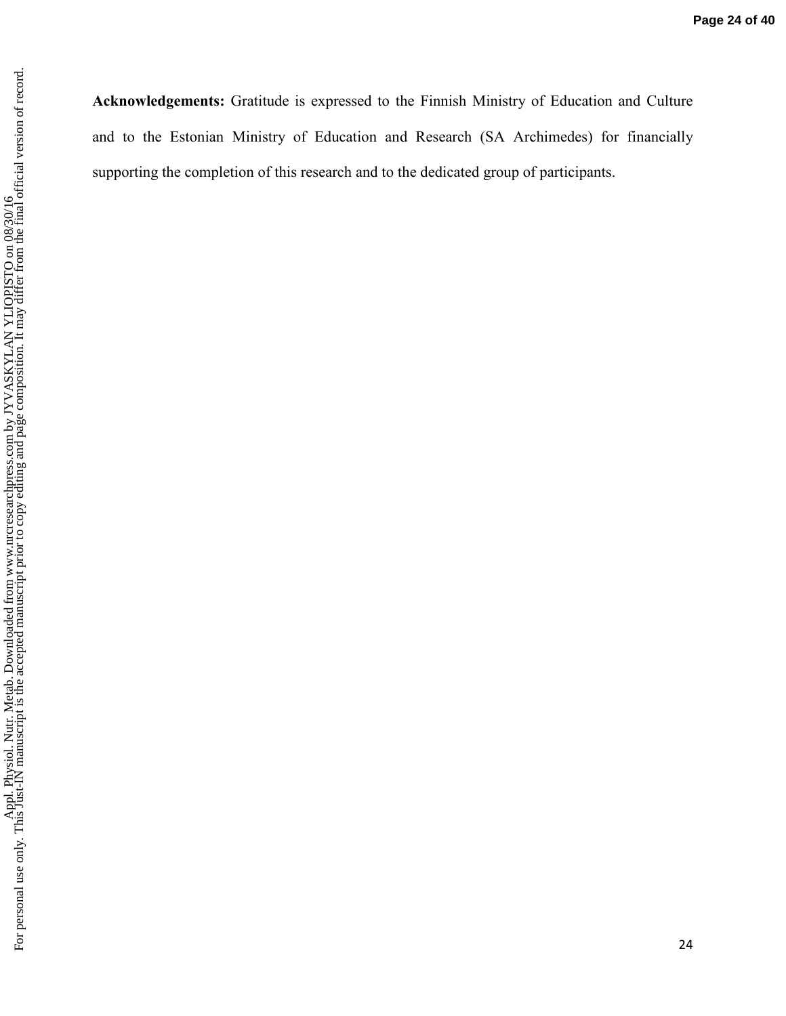**Acknowledgements:** Gratitude is expressed to the Finnish Ministry of Education and Culture and to the Estonian Ministry of Education and Research (SA Archimedes) for financially supporting the completion of this research and to the dedicated group of participants.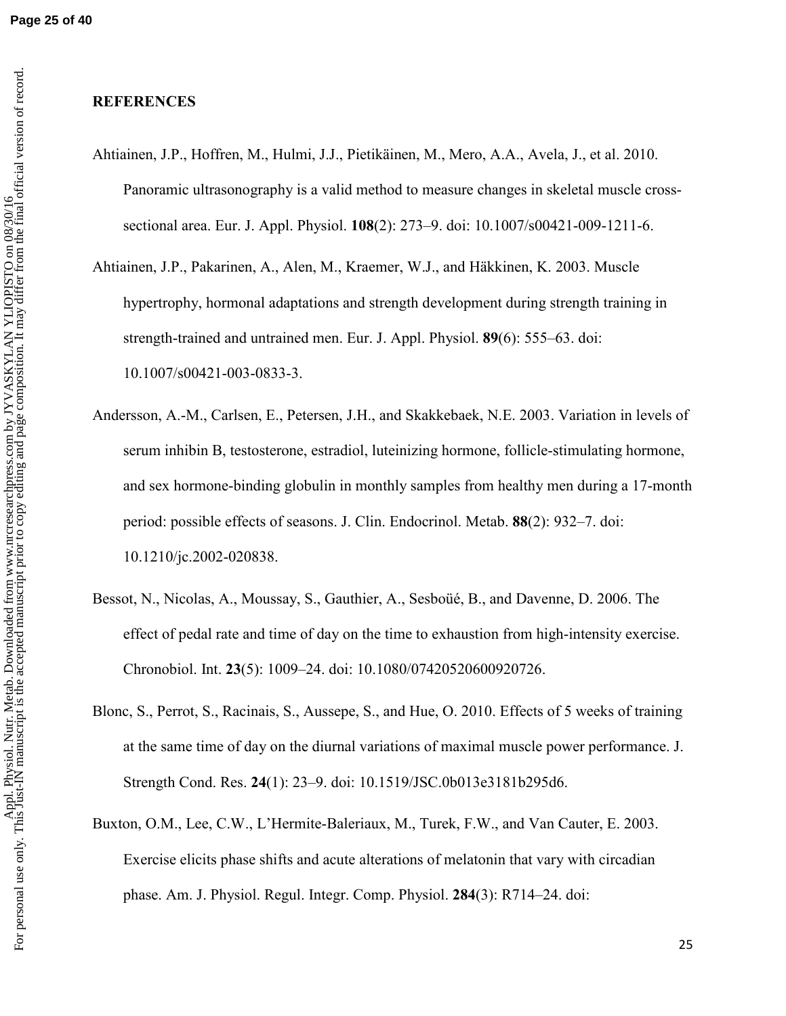# **REFERENCES**

- Ahtiainen, J.P., Hoffren, M., Hulmi, J.J., Pietikäinen, M., Mero, A.A., Avela, J., et al. 2010. Panoramic ultrasonography is a valid method to measure changes in skeletal muscle crosssectional area. Eur. J. Appl. Physiol. **108**(2): 273–9. doi: 10.1007/s00421-009-1211-6.
- Ahtiainen, J.P., Pakarinen, A., Alen, M., Kraemer, W.J., and Häkkinen, K. 2003. Muscle hypertrophy, hormonal adaptations and strength development during strength training in strength-trained and untrained men. Eur. J. Appl. Physiol. **89**(6): 555–63. doi: 10.1007/s00421-003-0833-3.
- Andersson, A.-M., Carlsen, E., Petersen, J.H., and Skakkebaek, N.E. 2003. Variation in levels of serum inhibin B, testosterone, estradiol, luteinizing hormone, follicle-stimulating hormone, and sex hormone-binding globulin in monthly samples from healthy men during a 17-month period: possible effects of seasons. J. Clin. Endocrinol. Metab. **88**(2): 932–7. doi: 10.1210/jc.2002-020838.
- Bessot, N., Nicolas, A., Moussay, S., Gauthier, A., Sesboüé, B., and Davenne, D. 2006. The effect of pedal rate and time of day on the time to exhaustion from high-intensity exercise. Chronobiol. Int. **23**(5): 1009–24. doi: 10.1080/07420520600920726.
- Blonc, S., Perrot, S., Racinais, S., Aussepe, S., and Hue, O. 2010. Effects of 5 weeks of training at the same time of day on the diurnal variations of maximal muscle power performance. J. Strength Cond. Res. **24**(1): 23–9. doi: 10.1519/JSC.0b013e3181b295d6.
- Buxton, O.M., Lee, C.W., L'Hermite-Baleriaux, M., Turek, F.W., and Van Cauter, E. 2003. Exercise elicits phase shifts and acute alterations of melatonin that vary with circadian phase. Am. J. Physiol. Regul. Integr. Comp. Physiol. **284**(3): R714–24. doi: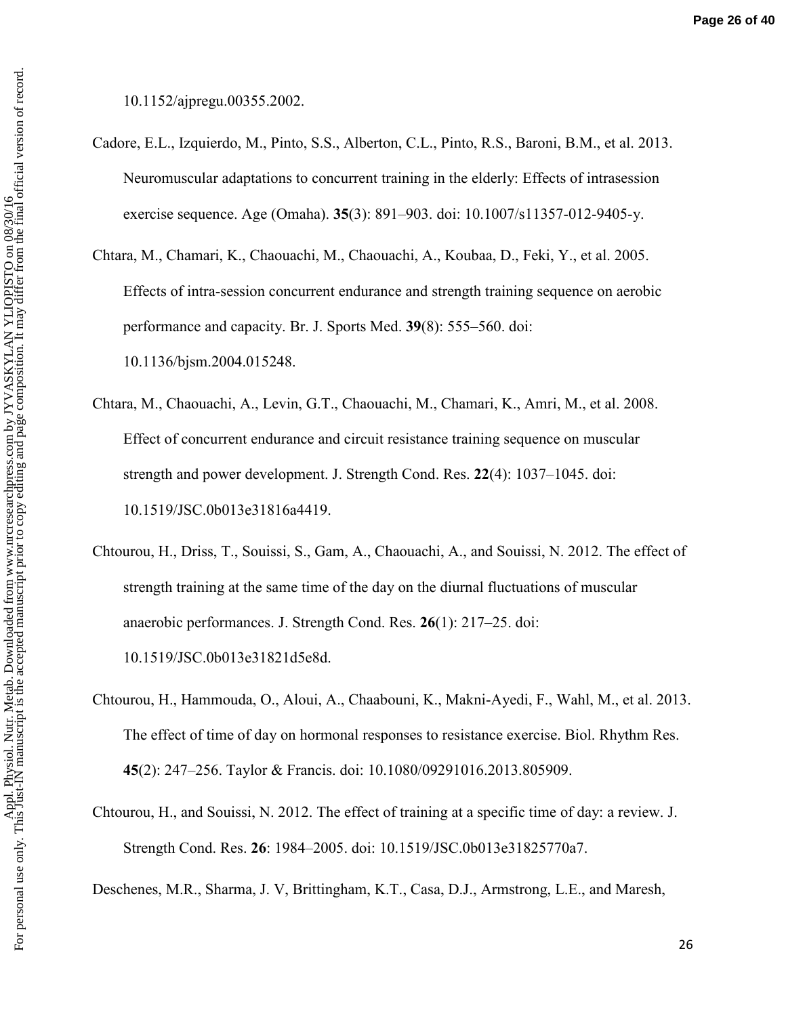For $\cdot$ 

10.1152/ajpregu.00355.2002.

- Cadore, E.L., Izquierdo, M., Pinto, S.S., Alberton, C.L., Pinto, R.S., Baroni, B.M., et al. 2013. Neuromuscular adaptations to concurrent training in the elderly: Effects of intrasession exercise sequence. Age (Omaha). **35**(3): 891–903. doi: 10.1007/s11357-012-9405-y.
- Chtara, M., Chamari, K., Chaouachi, M., Chaouachi, A., Koubaa, D., Feki, Y., et al. 2005. Effects of intra-session concurrent endurance and strength training sequence on aerobic performance and capacity. Br. J. Sports Med. **39**(8): 555–560. doi: 10.1136/bjsm.2004.015248.
- Chtara, M., Chaouachi, A., Levin, G.T., Chaouachi, M., Chamari, K., Amri, M., et al. 2008. Effect of concurrent endurance and circuit resistance training sequence on muscular strength and power development. J. Strength Cond. Res. **22**(4): 1037–1045. doi: 10.1519/JSC.0b013e31816a4419.
- Chtourou, H., Driss, T., Souissi, S., Gam, A., Chaouachi, A., and Souissi, N. 2012. The effect of strength training at the same time of the day on the diurnal fluctuations of muscular anaerobic performances. J. Strength Cond. Res. **26**(1): 217–25. doi: 10.1519/JSC.0b013e31821d5e8d.
- Chtourou, H., Hammouda, O., Aloui, A., Chaabouni, K., Makni-Ayedi, F., Wahl, M., et al. 2013. The effect of time of day on hormonal responses to resistance exercise. Biol. Rhythm Res. **45**(2): 247–256. Taylor & Francis. doi: 10.1080/09291016.2013.805909.
- Chtourou, H., and Souissi, N. 2012. The effect of training at a specific time of day: a review. J. Strength Cond. Res. **26**: 1984–2005. doi: 10.1519/JSC.0b013e31825770a7.

Deschenes, M.R., Sharma, J. V, Brittingham, K.T., Casa, D.J., Armstrong, L.E., and Maresh,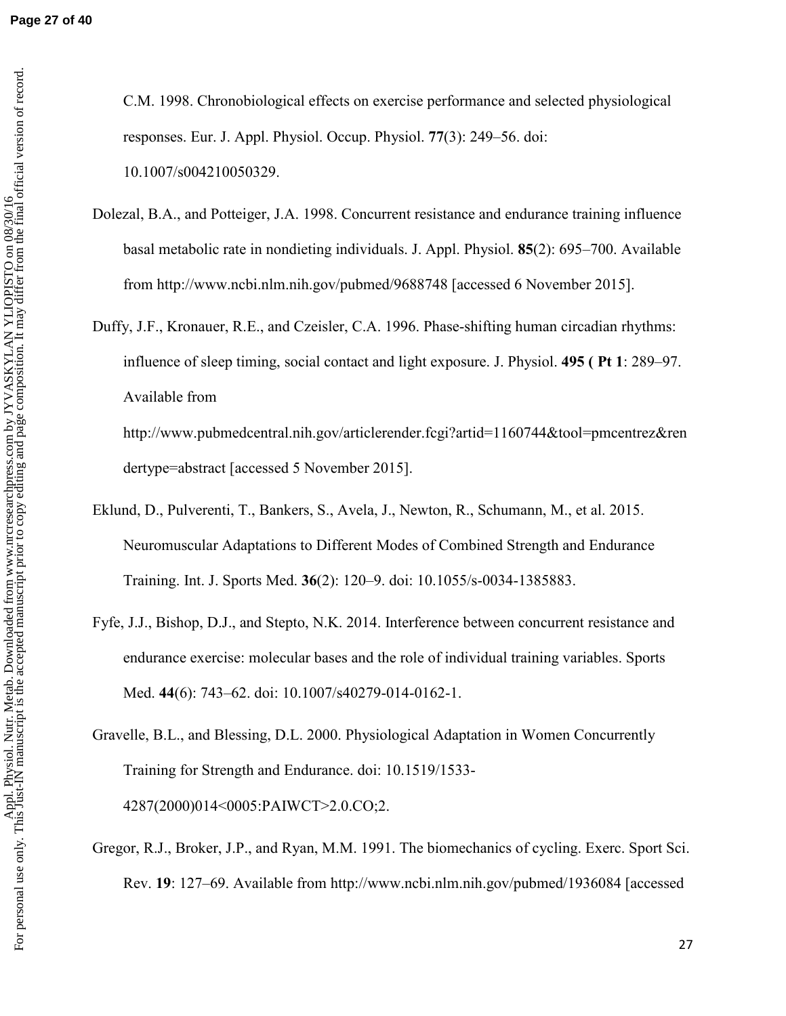C.M. 1998. Chronobiological effects on exercise performance and selected physiological responses. Eur. J. Appl. Physiol. Occup. Physiol. **77**(3): 249–56. doi: 10.1007/s004210050329.

- Dolezal, B.A., and Potteiger, J.A. 1998. Concurrent resistance and endurance training influence basal metabolic rate in nondieting individuals. J. Appl. Physiol. **85**(2): 695–700. Available from http://www.ncbi.nlm.nih.gov/pubmed/9688748 [accessed 6 November 2015].
- Duffy, J.F., Kronauer, R.E., and Czeisler, C.A. 1996. Phase-shifting human circadian rhythms: influence of sleep timing, social contact and light exposure. J. Physiol. **495 ( Pt 1**: 289–97. Available from

http://www.pubmedcentral.nih.gov/articlerender.fcgi?artid=1160744&tool=pmcentrez&ren dertype=abstract [accessed 5 November 2015].

- Eklund, D., Pulverenti, T., Bankers, S., Avela, J., Newton, R., Schumann, M., et al. 2015. Neuromuscular Adaptations to Different Modes of Combined Strength and Endurance Training. Int. J. Sports Med. **36**(2): 120–9. doi: 10.1055/s-0034-1385883.
- Fyfe, J.J., Bishop, D.J., and Stepto, N.K. 2014. Interference between concurrent resistance and endurance exercise: molecular bases and the role of individual training variables. Sports Med. **44**(6): 743–62. doi: 10.1007/s40279-014-0162-1.
- Gravelle, B.L., and Blessing, D.L. 2000. Physiological Adaptation in Women Concurrently Training for Strength and Endurance. doi: 10.1519/1533- 4287(2000)014<0005:PAIWCT>2.0.CO;2.
- Gregor, R.J., Broker, J.P., and Ryan, M.M. 1991. The biomechanics of cycling. Exerc. Sport Sci. Rev. **19**: 127–69. Available from http://www.ncbi.nlm.nih.gov/pubmed/1936084 [accessed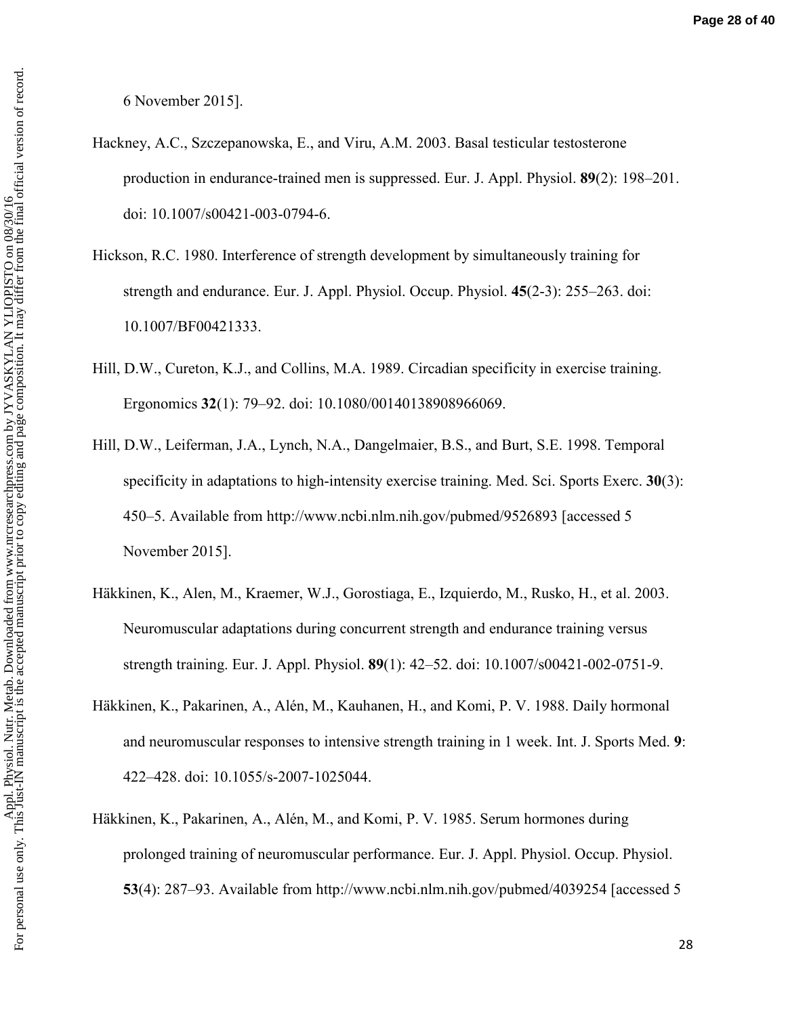${\rm For}$ 

6 November 2015].

- Hackney, A.C., Szczepanowska, E., and Viru, A.M. 2003. Basal testicular testosterone production in endurance-trained men is suppressed. Eur. J. Appl. Physiol. **89**(2): 198–201. doi: 10.1007/s00421-003-0794-6.
- Hickson, R.C. 1980. Interference of strength development by simultaneously training for strength and endurance. Eur. J. Appl. Physiol. Occup. Physiol. **45**(2-3): 255–263. doi: 10.1007/BF00421333.
- Hill, D.W., Cureton, K.J., and Collins, M.A. 1989. Circadian specificity in exercise training. Ergonomics **32**(1): 79–92. doi: 10.1080/00140138908966069.
- Hill, D.W., Leiferman, J.A., Lynch, N.A., Dangelmaier, B.S., and Burt, S.E. 1998. Temporal specificity in adaptations to high-intensity exercise training. Med. Sci. Sports Exerc. **30**(3): 450–5. Available from http://www.ncbi.nlm.nih.gov/pubmed/9526893 [accessed 5 November 2015].
- Häkkinen, K., Alen, M., Kraemer, W.J., Gorostiaga, E., Izquierdo, M., Rusko, H., et al. 2003. Neuromuscular adaptations during concurrent strength and endurance training versus strength training. Eur. J. Appl. Physiol. **89**(1): 42–52. doi: 10.1007/s00421-002-0751-9.
- Häkkinen, K., Pakarinen, A., Alén, M., Kauhanen, H., and Komi, P. V. 1988. Daily hormonal and neuromuscular responses to intensive strength training in 1 week. Int. J. Sports Med. **9**: 422–428. doi: 10.1055/s-2007-1025044.
- Häkkinen, K., Pakarinen, A., Alén, M., and Komi, P. V. 1985. Serum hormones during prolonged training of neuromuscular performance. Eur. J. Appl. Physiol. Occup. Physiol. **53**(4): 287–93. Available from http://www.ncbi.nlm.nih.gov/pubmed/4039254 [accessed 5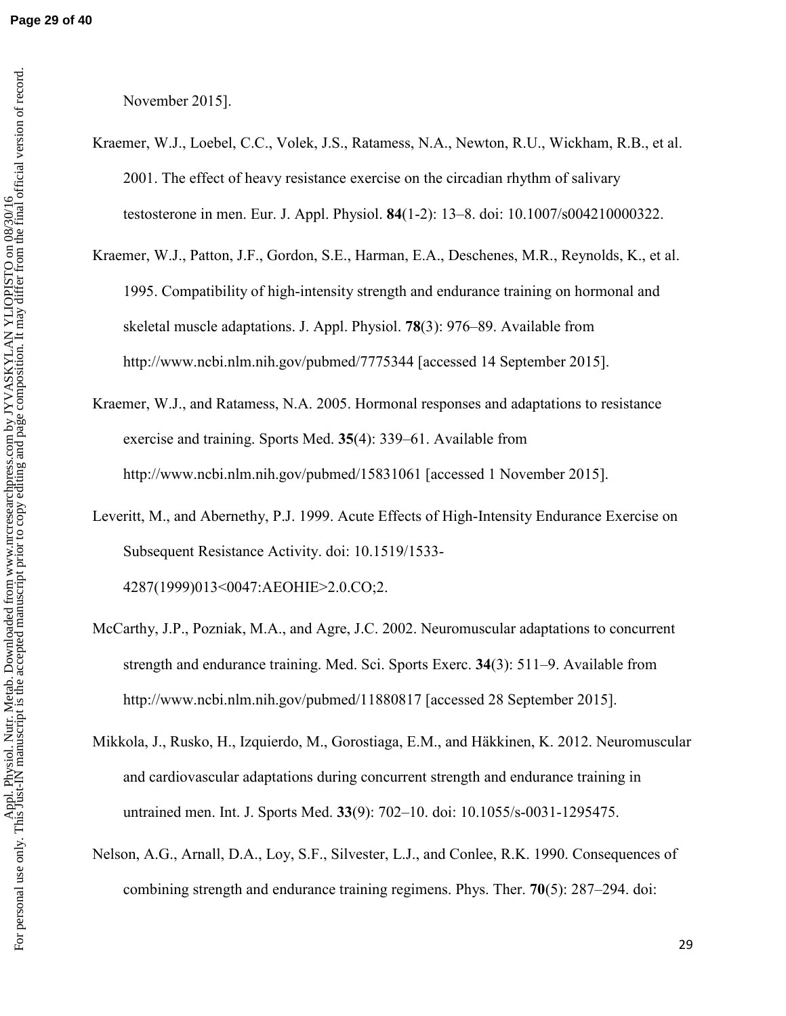November 2015].

- Kraemer, W.J., Loebel, C.C., Volek, J.S., Ratamess, N.A., Newton, R.U., Wickham, R.B., et al. 2001. The effect of heavy resistance exercise on the circadian rhythm of salivary testosterone in men. Eur. J. Appl. Physiol. **84**(1-2): 13–8. doi: 10.1007/s004210000322.
- Kraemer, W.J., Patton, J.F., Gordon, S.E., Harman, E.A., Deschenes, M.R., Reynolds, K., et al. 1995. Compatibility of high-intensity strength and endurance training on hormonal and skeletal muscle adaptations. J. Appl. Physiol. **78**(3): 976–89. Available from http://www.ncbi.nlm.nih.gov/pubmed/7775344 [accessed 14 September 2015].
- Kraemer, W.J., and Ratamess, N.A. 2005. Hormonal responses and adaptations to resistance exercise and training. Sports Med. **35**(4): 339–61. Available from http://www.ncbi.nlm.nih.gov/pubmed/15831061 [accessed 1 November 2015].
- Leveritt, M., and Abernethy, P.J. 1999. Acute Effects of High-Intensity Endurance Exercise on Subsequent Resistance Activity. doi: 10.1519/1533- 4287(1999)013<0047:AEOHIE>2.0.CO;2.
- McCarthy, J.P., Pozniak, M.A., and Agre, J.C. 2002. Neuromuscular adaptations to concurrent strength and endurance training. Med. Sci. Sports Exerc. **34**(3): 511–9. Available from http://www.ncbi.nlm.nih.gov/pubmed/11880817 [accessed 28 September 2015].
- Mikkola, J., Rusko, H., Izquierdo, M., Gorostiaga, E.M., and Häkkinen, K. 2012. Neuromuscular and cardiovascular adaptations during concurrent strength and endurance training in untrained men. Int. J. Sports Med. **33**(9): 702–10. doi: 10.1055/s-0031-1295475.
- Nelson, A.G., Arnall, D.A., Loy, S.F., Silvester, L.J., and Conlee, R.K. 1990. Consequences of combining strength and endurance training regimens. Phys. Ther. **70**(5): 287–294. doi: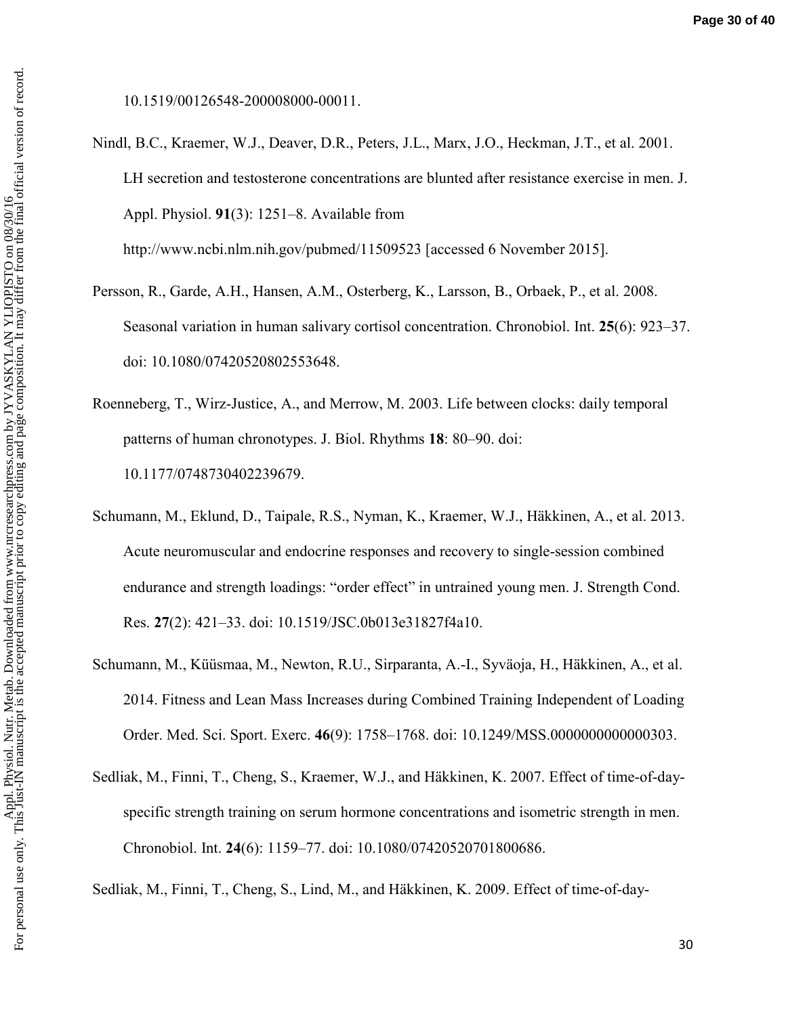${\rm For}$ 

10.1519/00126548-200008000-00011.

- Nindl, B.C., Kraemer, W.J., Deaver, D.R., Peters, J.L., Marx, J.O., Heckman, J.T., et al. 2001. LH secretion and testosterone concentrations are blunted after resistance exercise in men. J. Appl. Physiol. **91**(3): 1251–8. Available from http://www.ncbi.nlm.nih.gov/pubmed/11509523 [accessed 6 November 2015].
- Persson, R., Garde, A.H., Hansen, A.M., Osterberg, K., Larsson, B., Orbaek, P., et al. 2008. Seasonal variation in human salivary cortisol concentration. Chronobiol. Int. **25**(6): 923–37. doi: 10.1080/07420520802553648.
- Roenneberg, T., Wirz-Justice, A., and Merrow, M. 2003. Life between clocks: daily temporal patterns of human chronotypes. J. Biol. Rhythms **18**: 80–90. doi: 10.1177/0748730402239679.
- Schumann, M., Eklund, D., Taipale, R.S., Nyman, K., Kraemer, W.J., Häkkinen, A., et al. 2013. Acute neuromuscular and endocrine responses and recovery to single-session combined endurance and strength loadings: "order effect" in untrained young men. J. Strength Cond. Res. **27**(2): 421–33. doi: 10.1519/JSC.0b013e31827f4a10.
- Schumann, M., Küüsmaa, M., Newton, R.U., Sirparanta, A.-I., Syväoja, H., Häkkinen, A., et al. 2014. Fitness and Lean Mass Increases during Combined Training Independent of Loading Order. Med. Sci. Sport. Exerc. **46**(9): 1758–1768. doi: 10.1249/MSS.0000000000000303.
- Sedliak, M., Finni, T., Cheng, S., Kraemer, W.J., and Häkkinen, K. 2007. Effect of time-of-dayspecific strength training on serum hormone concentrations and isometric strength in men. Chronobiol. Int. **24**(6): 1159–77. doi: 10.1080/07420520701800686.

Sedliak, M., Finni, T., Cheng, S., Lind, M., and Häkkinen, K. 2009. Effect of time-of-day-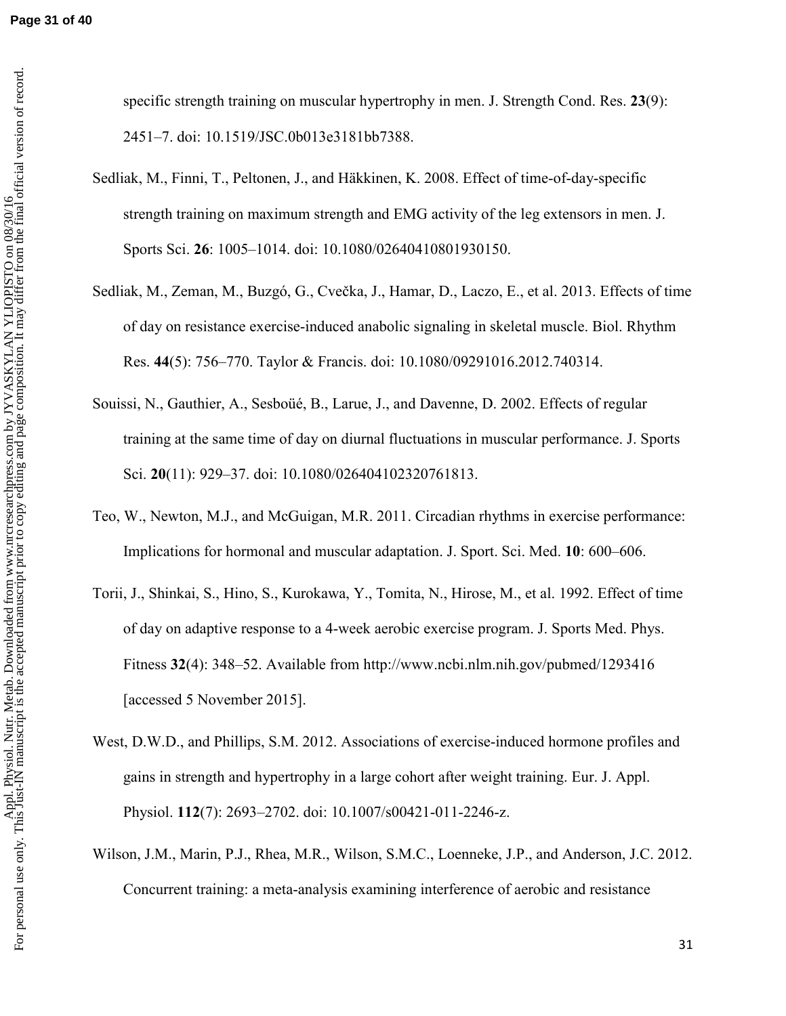specific strength training on muscular hypertrophy in men. J. Strength Cond. Res. **23**(9): 2451–7. doi: 10.1519/JSC.0b013e3181bb7388.

- Sedliak, M., Finni, T., Peltonen, J., and Häkkinen, K. 2008. Effect of time-of-day-specific strength training on maximum strength and EMG activity of the leg extensors in men. J. Sports Sci. **26**: 1005–1014. doi: 10.1080/02640410801930150.
- Sedliak, M., Zeman, M., Buzgó, G., Cvečka, J., Hamar, D., Laczo, E., et al. 2013. Effects of time of day on resistance exercise-induced anabolic signaling in skeletal muscle. Biol. Rhythm Res. **44**(5): 756–770. Taylor & Francis. doi: 10.1080/09291016.2012.740314.
- Souissi, N., Gauthier, A., Sesboüé, B., Larue, J., and Davenne, D. 2002. Effects of regular training at the same time of day on diurnal fluctuations in muscular performance. J. Sports Sci. **20**(11): 929–37. doi: 10.1080/026404102320761813.
- Teo, W., Newton, M.J., and McGuigan, M.R. 2011. Circadian rhythms in exercise performance: Implications for hormonal and muscular adaptation. J. Sport. Sci. Med. **10**: 600–606.
- Torii, J., Shinkai, S., Hino, S., Kurokawa, Y., Tomita, N., Hirose, M., et al. 1992. Effect of time of day on adaptive response to a 4-week aerobic exercise program. J. Sports Med. Phys. Fitness **32**(4): 348–52. Available from http://www.ncbi.nlm.nih.gov/pubmed/1293416 [accessed 5 November 2015].
- West, D.W.D., and Phillips, S.M. 2012. Associations of exercise-induced hormone profiles and gains in strength and hypertrophy in a large cohort after weight training. Eur. J. Appl. Physiol. **112**(7): 2693–2702. doi: 10.1007/s00421-011-2246-z.
- Wilson, J.M., Marin, P.J., Rhea, M.R., Wilson, S.M.C., Loenneke, J.P., and Anderson, J.C. 2012. Concurrent training: a meta-analysis examining interference of aerobic and resistance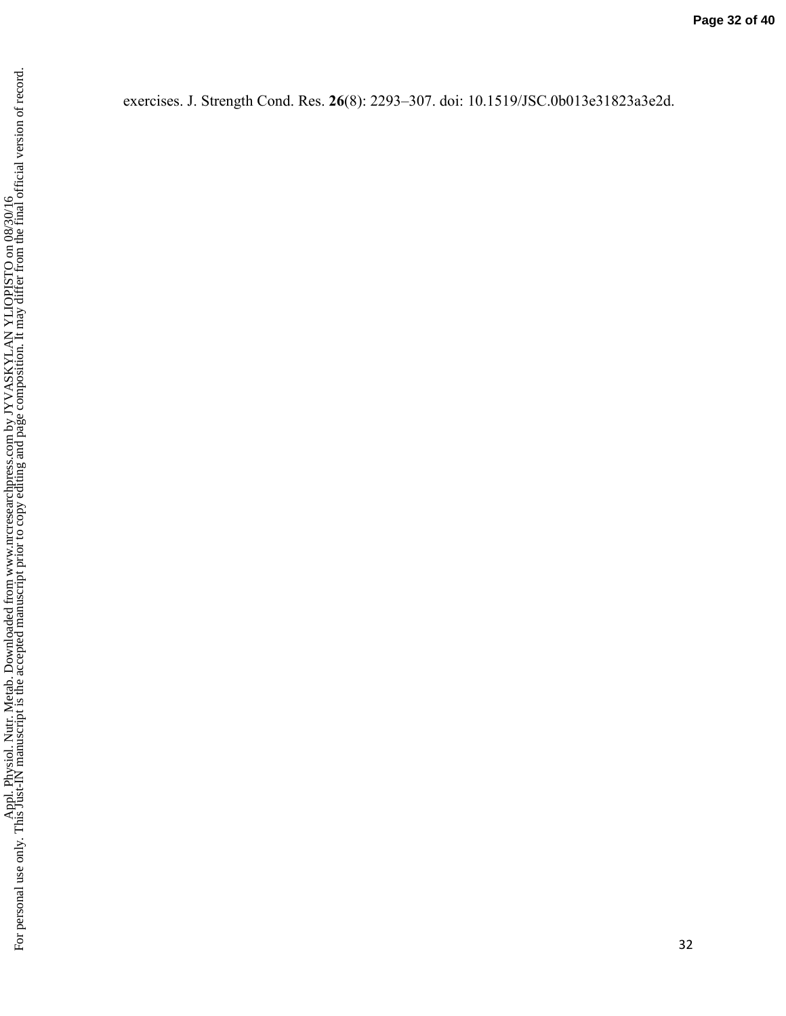exercises. J. Strength Cond. Res. **26**(8): 2293–307. doi: 10.1519/JSC.0b013e31823a3e2d.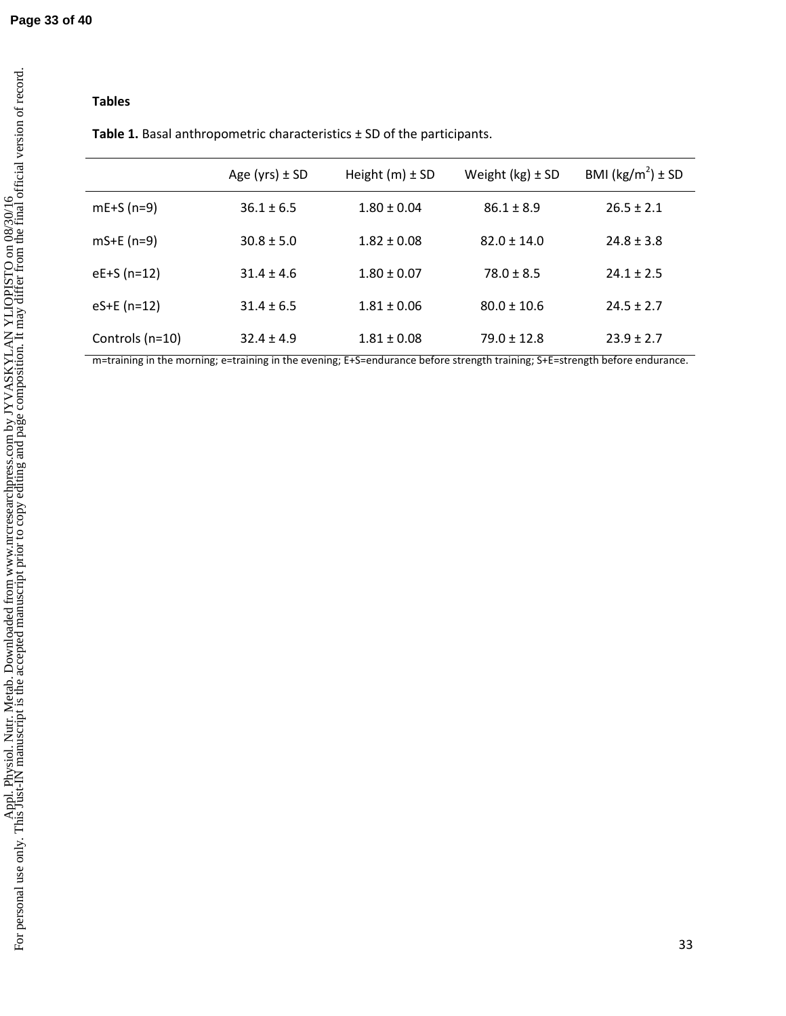# **Tables**

Table 1. Basal anthropometric characteristics  $\pm$  SD of the participants.

|                 | Age ( $yrs$ ) $\pm$ SD | Height $(m) \pm SD$ | Weight $(kg) \pm SD$ | BMI ( $\text{kg/m}^2$ ) ± SD |
|-----------------|------------------------|---------------------|----------------------|------------------------------|
| $mE+S(n=9)$     | $36.1 \pm 6.5$         | $1.80 \pm 0.04$     | $86.1 \pm 8.9$       | $26.5 \pm 2.1$               |
| $mS+E (n=9)$    | $30.8 \pm 5.0$         | $1.82 \pm 0.08$     | $82.0 \pm 14.0$      | $24.8 \pm 3.8$               |
| $eE+S(n=12)$    | $31.4 \pm 4.6$         | $1.80 \pm 0.07$     | $78.0 \pm 8.5$       | $24.1 \pm 2.5$               |
| $eS+E$ (n=12)   | $31.4 \pm 6.5$         | $1.81 \pm 0.06$     | $80.0 \pm 10.6$      | $24.5 \pm 2.7$               |
| Controls (n=10) | $32.4 \pm 4.9$         | $1.81 \pm 0.08$     | $79.0 \pm 12.8$      | $23.9 \pm 2.7$               |

m=training in the morning; e=training in the evening; E+S=endurance before strength training; S+E=strength before endurance.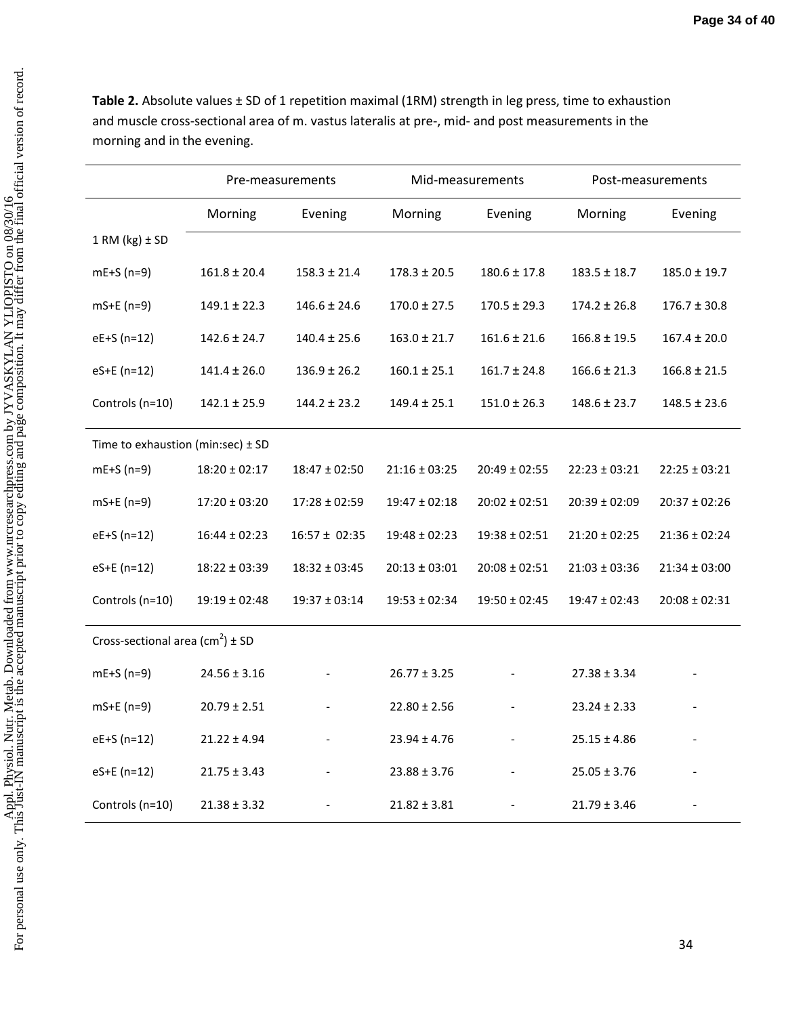**Table 2.** Absolute values ± SD of 1 repetition maximal (1RM) strength in leg press, time to exhaustion and muscle cross-sectional area of m. vastus lateralis at pre-, mid- and post measurements in the morning and in the evening.

|                                       | Pre-measurements  |                   | Mid-measurements  |                   | Post-measurements |                   |  |
|---------------------------------------|-------------------|-------------------|-------------------|-------------------|-------------------|-------------------|--|
|                                       | Morning           | Evening           | Morning           | Evening           | Morning           | Evening           |  |
| $1$ RM (kg) $\pm$ SD                  |                   |                   |                   |                   |                   |                   |  |
| $mE+S(n=9)$                           | $161.8 \pm 20.4$  | $158.3 \pm 21.4$  | $178.3 \pm 20.5$  | $180.6 \pm 17.8$  | $183.5 \pm 18.7$  | $185.0 \pm 19.7$  |  |
| $mS+E (n=9)$                          | $149.1 \pm 22.3$  | $146.6 \pm 24.6$  | $170.0 \pm 27.5$  | $170.5 \pm 29.3$  | $174.2 \pm 26.8$  | $176.7 \pm 30.8$  |  |
| eE+S (n=12)                           | $142.6 \pm 24.7$  | $140.4 \pm 25.6$  | $163.0 \pm 21.7$  | $161.6 \pm 21.6$  | $166.8 \pm 19.5$  | $167.4 \pm 20.0$  |  |
| eS+E (n=12)                           | $141.4 \pm 26.0$  | $136.9 \pm 26.2$  | $160.1 \pm 25.1$  | $161.7 \pm 24.8$  | $166.6 \pm 21.3$  | $166.8 \pm 21.5$  |  |
| Controls (n=10)                       | $142.1 \pm 25.9$  | $144.2 \pm 23.2$  | $149.4 \pm 25.1$  | $151.0 \pm 26.3$  | $148.6 \pm 23.7$  | $148.5 \pm 23.6$  |  |
| Time to exhaustion (min:sec) $\pm$ SD |                   |                   |                   |                   |                   |                   |  |
| $mE+S(n=9)$                           | $18:20 \pm 02:17$ | $18:47 \pm 02:50$ | $21:16 \pm 03:25$ | $20:49 \pm 02:55$ | $22:23 \pm 03:21$ | $22:25 \pm 03:21$ |  |
| $mS+E (n=9)$                          | $17:20 \pm 03:20$ | $17:28 \pm 02:59$ | $19:47 \pm 02:18$ | $20:02 \pm 02:51$ | $20:39 \pm 02:09$ | $20:37 \pm 02:26$ |  |
| eE+S (n=12)                           | $16:44 \pm 02:23$ | $16:57 \pm 02:35$ | $19:48 \pm 02:23$ | $19:38 \pm 02:51$ | $21:20 \pm 02:25$ | $21:36 \pm 02:24$ |  |
| eS+E (n=12)                           | $18:22 \pm 03:39$ | $18:32 \pm 03:45$ | $20:13 \pm 03:01$ | $20:08 \pm 02:51$ | $21:03 \pm 03:36$ | $21:34 \pm 03:00$ |  |
| Controls (n=10)                       | $19:19 \pm 02:48$ | $19:37 \pm 03:14$ | $19:53 \pm 02:34$ | $19:50 \pm 02:45$ | $19:47 \pm 02:43$ | $20:08 \pm 02:31$ |  |
| Cross-sectional area $(cm2) \pm SD$   |                   |                   |                   |                   |                   |                   |  |
| $mE+S(n=9)$                           | $24.56 \pm 3.16$  |                   | $26.77 \pm 3.25$  |                   | $27.38 \pm 3.34$  |                   |  |
| $mS+E (n=9)$                          | $20.79 \pm 2.51$  |                   | $22.80 \pm 2.56$  |                   | $23.24 \pm 2.33$  |                   |  |
| eE+S (n=12)                           | $21.22 \pm 4.94$  |                   | $23.94 \pm 4.76$  |                   | $25.15 \pm 4.86$  |                   |  |
| eS+E (n=12)                           | $21.75 \pm 3.43$  |                   | $23.88 \pm 3.76$  |                   | $25.05 \pm 3.76$  |                   |  |
| Controls (n=10)                       | $21.38 \pm 3.32$  |                   | $21.82 \pm 3.81$  |                   | $21.79 \pm 3.46$  |                   |  |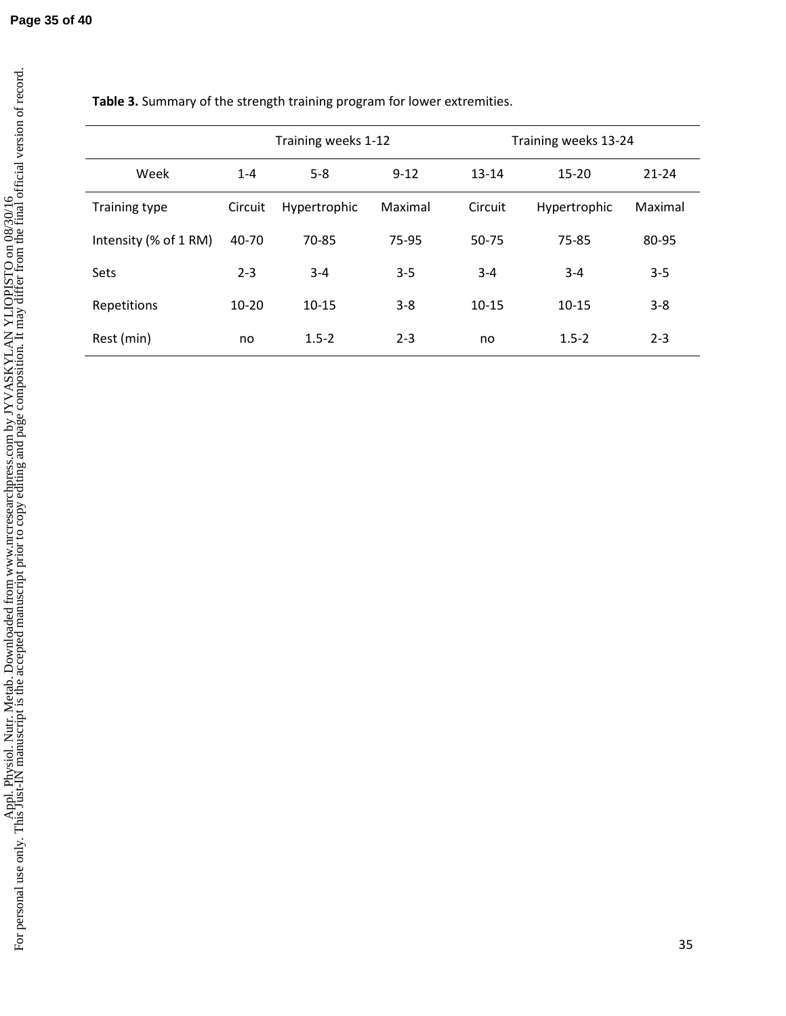|                       | Training weeks 1-12 |              |          | Training weeks 13-24 |              |           |
|-----------------------|---------------------|--------------|----------|----------------------|--------------|-----------|
| Week                  | $1 - 4$             | $5 - 8$      | $9 - 12$ | $13 - 14$            | $15 - 20$    | $21 - 24$ |
| Training type         | Circuit             | Hypertrophic | Maximal  | Circuit              | Hypertrophic | Maximal   |
| Intensity (% of 1 RM) | 40-70               | 70-85        | 75-95    | $50 - 75$            | 75-85        | 80-95     |
| Sets                  | $2 - 3$             | $3 - 4$      | $3 - 5$  | $3 - 4$              | $3 - 4$      | $3 - 5$   |
| Repetitions           | $10 - 20$           | $10 - 15$    | $3 - 8$  | $10 - 15$            | $10 - 15$    | $3 - 8$   |
| Rest (min)            | no                  | $1.5 - 2$    | $2 - 3$  | no                   | $1.5 - 2$    | $2 - 3$   |

**Table 3.** Summary of the strength training program for lower extremities.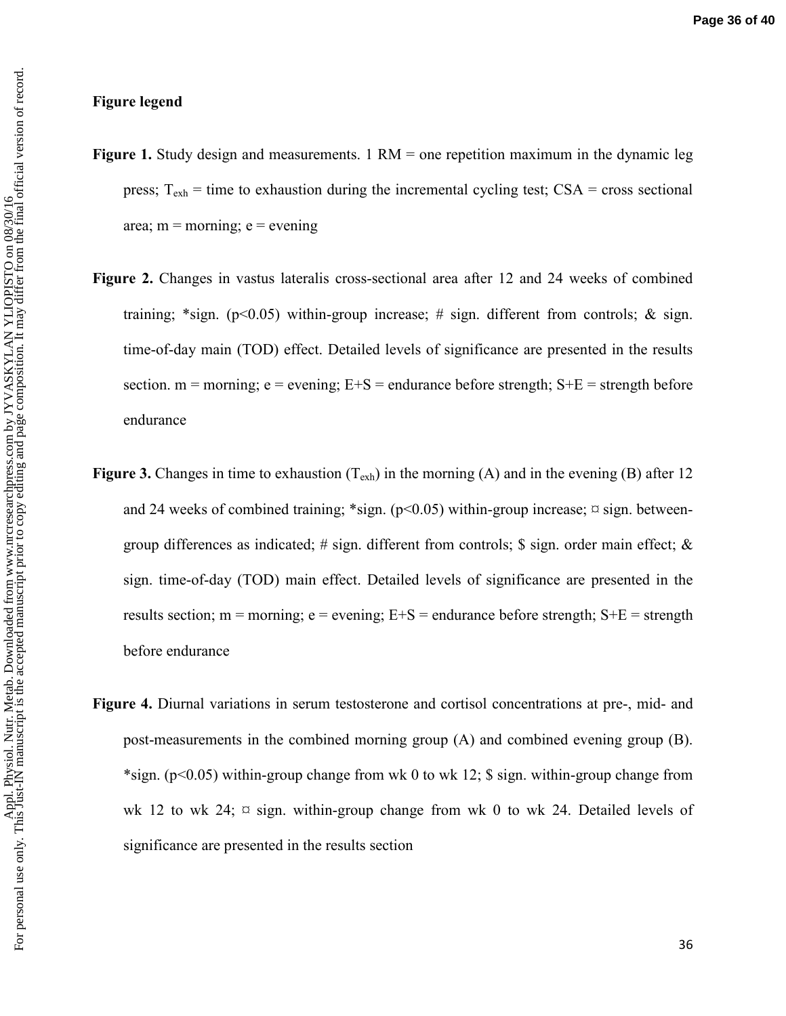# **Figure legend**

- **Figure 1.** Study design and measurements. 1 RM = one repetition maximum in the dynamic leg press;  $T_{exh}$  = time to exhaustion during the incremental cycling test; CSA = cross sectional area;  $m =$  morning;  $e =$  evening
- **Figure 2.** Changes in vastus lateralis cross-sectional area after 12 and 24 weeks of combined training; \*sign. ( $p<0.05$ ) within-group increase; # sign. different from controls; & sign. time-of-day main (TOD) effect. Detailed levels of significance are presented in the results section.  $m =$  morning;  $e =$  evening;  $E + S =$  endurance before strength;  $S + E =$  strength before endurance
- **Figure 3.** Changes in time to exhaustion  $(T_{exh})$  in the morning  $(A)$  and in the evening  $(B)$  after 12 and 24 weeks of combined training; \*sign. ( $p<0.05$ ) within-group increase;  $\alpha$  sign. betweengroup differences as indicated; # sign. different from controls;  $\hat{\mathbf{s}}$  sign. order main effect;  $\hat{\mathbf{x}}$ sign. time-of-day (TOD) main effect. Detailed levels of significance are presented in the results section; m = morning;  $e =$  evening;  $E+S =$  endurance before strength;  $S+E =$  strength before endurance
- **Figure 4.** Diurnal variations in serum testosterone and cortisol concentrations at pre-, mid- and post-measurements in the combined morning group (A) and combined evening group (B). \*sign. ( $p<0.05$ ) within-group change from wk 0 to wk 12; \$ sign. within-group change from wk 12 to wk 24;  $\alpha$  sign. within-group change from wk 0 to wk 24. Detailed levels of significance are presented in the results section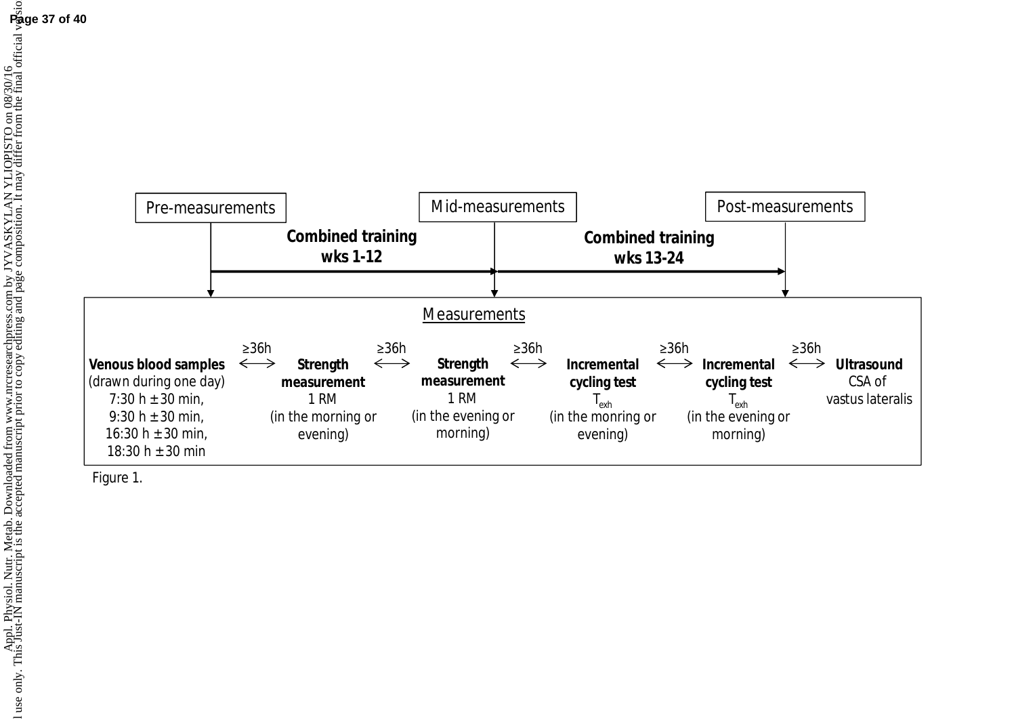

Figure 1.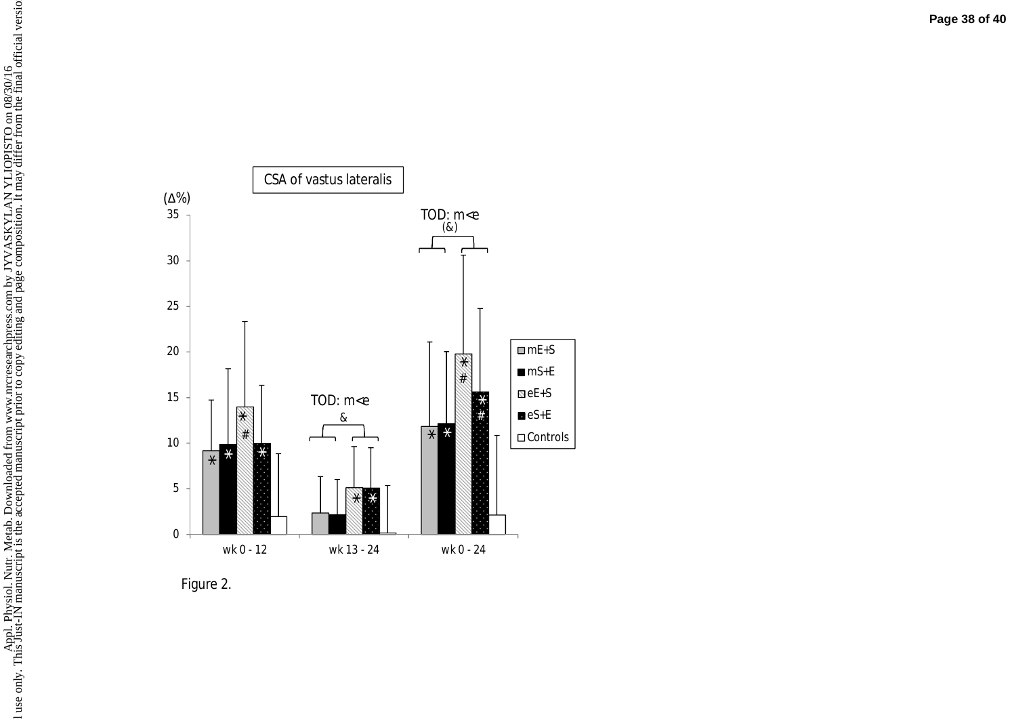

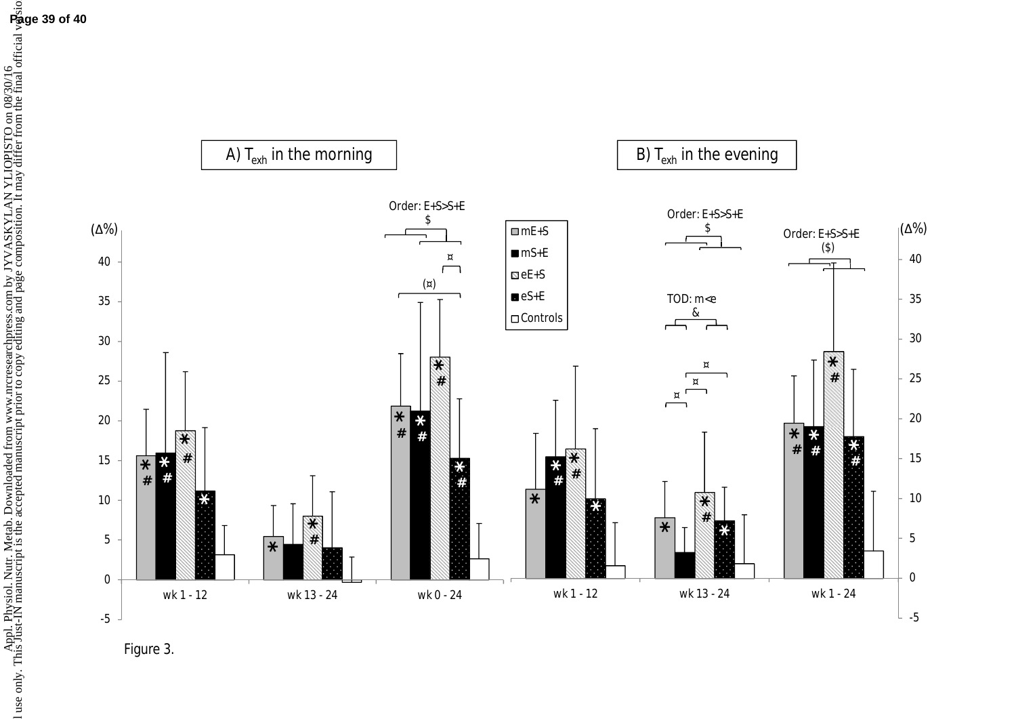

Figure 3.